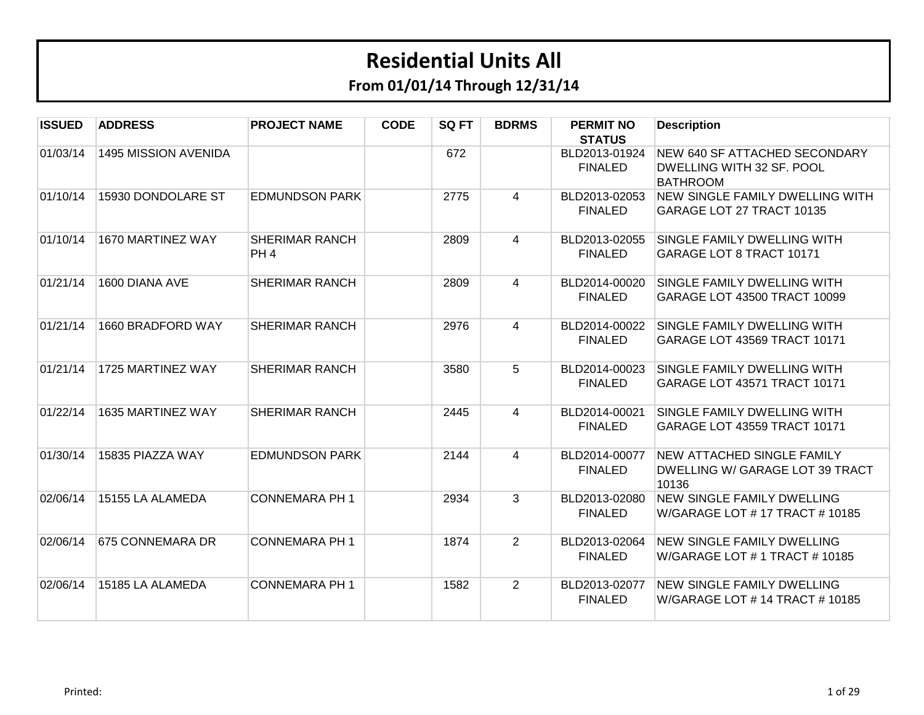| <b>ISSUED</b> | <b>ADDRESS</b>       | <b>PROJECT NAME</b>                      | <b>CODE</b> | SQ FT | <b>BDRMS</b> | <b>PERMIT NO</b><br><b>STATUS</b> | <b>Description</b>                                                                   |
|---------------|----------------------|------------------------------------------|-------------|-------|--------------|-----------------------------------|--------------------------------------------------------------------------------------|
| 01/03/14      | 1495 MISSION AVENIDA |                                          |             | 672   |              | BLD2013-01924<br><b>FINALED</b>   | <b>NEW 640 SF ATTACHED SECONDARY</b><br>DWELLING WITH 32 SF. POOL<br><b>BATHROOM</b> |
| 01/10/14      | 15930 DONDOLARE ST   | <b>EDMUNDSON PARK</b>                    |             | 2775  | 4            | BLD2013-02053<br><b>FINALED</b>   | NEW SINGLE FAMILY DWELLING WITH<br>GARAGE LOT 27 TRACT 10135                         |
| 01/10/14      | 1670 MARTINEZ WAY    | <b>SHERIMAR RANCH</b><br>PH <sub>4</sub> |             | 2809  | 4            | BLD2013-02055<br><b>FINALED</b>   | SINGLE FAMILY DWELLING WITH<br>GARAGE LOT 8 TRACT 10171                              |
| 01/21/14      | 1600 DIANA AVE       | <b>SHERIMAR RANCH</b>                    |             | 2809  | 4            | BLD2014-00020<br><b>FINALED</b>   | SINGLE FAMILY DWELLING WITH<br>GARAGE LOT 43500 TRACT 10099                          |
| 01/21/14      | 1660 BRADFORD WAY    | <b>SHERIMAR RANCH</b>                    |             | 2976  | 4            | BLD2014-00022<br><b>FINALED</b>   | SINGLE FAMILY DWELLING WITH<br>GARAGE LOT 43569 TRACT 10171                          |
| 01/21/14      | 1725 MARTINEZ WAY    | <b>SHERIMAR RANCH</b>                    |             | 3580  | 5            | BLD2014-00023<br><b>FINALED</b>   | SINGLE FAMILY DWELLING WITH<br>GARAGE LOT 43571 TRACT 10171                          |
| 01/22/14      | 1635 MARTINEZ WAY    | <b>SHERIMAR RANCH</b>                    |             | 2445  | 4            | BLD2014-00021<br><b>FINALED</b>   | SINGLE FAMILY DWELLING WITH<br>GARAGE LOT 43559 TRACT 10171                          |
| 01/30/14      | 15835 PIAZZA WAY     | <b>EDMUNDSON PARK</b>                    |             | 2144  | 4            | BLD2014-00077<br><b>FINALED</b>   | <b>NEW ATTACHED SINGLE FAMILY</b><br>DWELLING W/ GARAGE LOT 39 TRACT<br>10136        |
| 02/06/14      | 15155 LA ALAMEDA     | <b>CONNEMARA PH 1</b>                    |             | 2934  | 3            | BLD2013-02080<br><b>FINALED</b>   | <b>NEW SINGLE FAMILY DWELLING</b><br>W/GARAGE LOT # 17 TRACT # 10185                 |
| 02/06/14      | 675 CONNEMARA DR     | <b>CONNEMARA PH 1</b>                    |             | 1874  | 2            | BLD2013-02064<br><b>FINALED</b>   | <b>NEW SINGLE FAMILY DWELLING</b><br>W/GARAGE LOT # 1 TRACT # 10185                  |
| 02/06/14      | 15185 LA ALAMEDA     | <b>CONNEMARA PH 1</b>                    |             | 1582  | 2            | BLD2013-02077<br><b>FINALED</b>   | <b>NEW SINGLE FAMILY DWELLING</b><br>W/GARAGE LOT # 14 TRACT # 10185                 |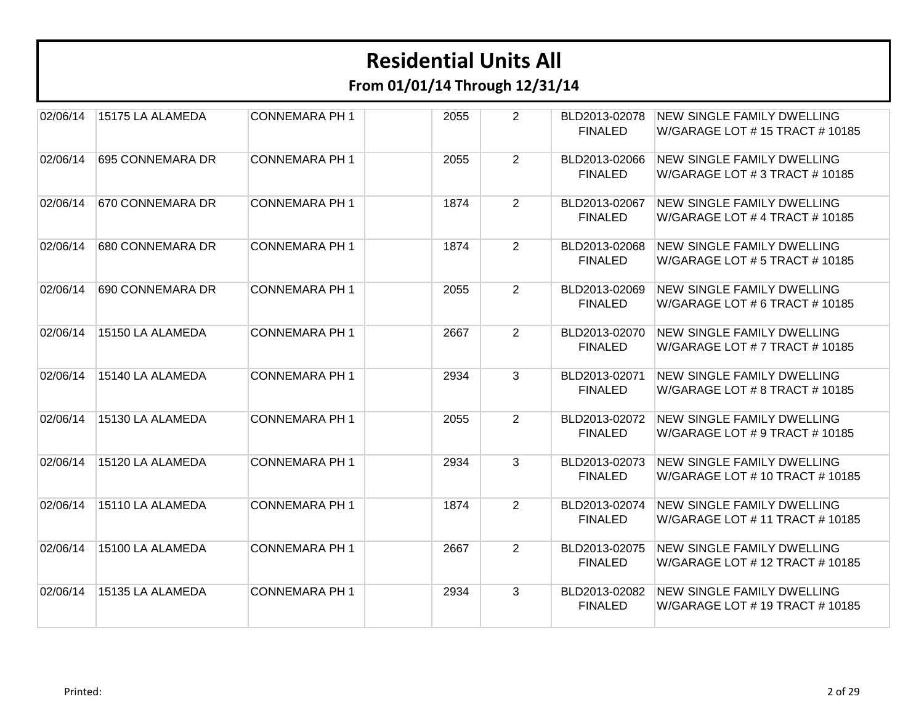| 02/06/14 | 15175 LA ALAMEDA | <b>CONNEMARA PH 1</b> | 2055 | $\overline{2}$ | BLD2013-02078<br><b>FINALED</b> | <b>NEW SINGLE FAMILY DWELLING</b><br>W/GARAGE LOT # 15 TRACT # 10185 |
|----------|------------------|-----------------------|------|----------------|---------------------------------|----------------------------------------------------------------------|
| 02/06/14 | 695 CONNEMARA DR | <b>CONNEMARA PH 1</b> | 2055 | $\overline{2}$ | BLD2013-02066<br><b>FINALED</b> | <b>NEW SINGLE FAMILY DWELLING</b><br>W/GARAGE LOT # 3 TRACT # 10185  |
| 02/06/14 | 670 CONNEMARA DR | <b>CONNEMARA PH 1</b> | 1874 | $\overline{2}$ | BLD2013-02067<br><b>FINALED</b> | <b>NEW SINGLE FAMILY DWELLING</b><br>W/GARAGE LOT # 4 TRACT # 10185  |
| 02/06/14 | 680 CONNEMARA DR | <b>CONNEMARA PH 1</b> | 1874 | $\overline{2}$ | BLD2013-02068<br><b>FINALED</b> | <b>NEW SINGLE FAMILY DWELLING</b><br>W/GARAGE LOT # 5 TRACT # 10185  |
| 02/06/14 | 690 CONNEMARA DR | <b>CONNEMARA PH 1</b> | 2055 | $\overline{2}$ | BLD2013-02069<br><b>FINALED</b> | <b>NEW SINGLE FAMILY DWELLING</b><br>W/GARAGE LOT # 6 TRACT # 10185  |
| 02/06/14 | 15150 LA ALAMEDA | <b>CONNEMARA PH 1</b> | 2667 | $\overline{2}$ | BLD2013-02070<br><b>FINALED</b> | <b>NEW SINGLE FAMILY DWELLING</b><br>W/GARAGE LOT # 7 TRACT # 10185  |
| 02/06/14 | 15140 LA ALAMEDA | <b>CONNEMARA PH 1</b> | 2934 | $\mathbf{3}$   | BLD2013-02071<br><b>FINALED</b> | <b>NEW SINGLE FAMILY DWELLING</b><br>W/GARAGE LOT # 8 TRACT # 10185  |
| 02/06/14 | 15130 LA ALAMEDA | <b>CONNEMARA PH 1</b> | 2055 | $\overline{2}$ | BLD2013-02072<br><b>FINALED</b> | NEW SINGLE FAMILY DWELLING<br>W/GARAGE LOT # 9 TRACT # 10185         |
| 02/06/14 | 15120 LA ALAMEDA | <b>CONNEMARA PH 1</b> | 2934 | 3              | BLD2013-02073<br><b>FINALED</b> | <b>NEW SINGLE FAMILY DWELLING</b><br>W/GARAGE LOT # 10 TRACT # 10185 |
| 02/06/14 | 15110 LA ALAMEDA | <b>CONNEMARA PH 1</b> | 1874 | $\overline{2}$ | BLD2013-02074<br><b>FINALED</b> | <b>NEW SINGLE FAMILY DWELLING</b><br>W/GARAGE LOT # 11 TRACT # 10185 |
| 02/06/14 | 15100 LA ALAMEDA | <b>CONNEMARA PH 1</b> | 2667 | $\overline{2}$ | BLD2013-02075<br><b>FINALED</b> | <b>NEW SINGLE FAMILY DWELLING</b><br>W/GARAGE LOT # 12 TRACT # 10185 |
| 02/06/14 | 15135 LA ALAMEDA | <b>CONNEMARA PH 1</b> | 2934 | 3              | BLD2013-02082<br><b>FINALED</b> | NEW SINGLE FAMILY DWELLING<br>W/GARAGE LOT # 19 TRACT # 10185        |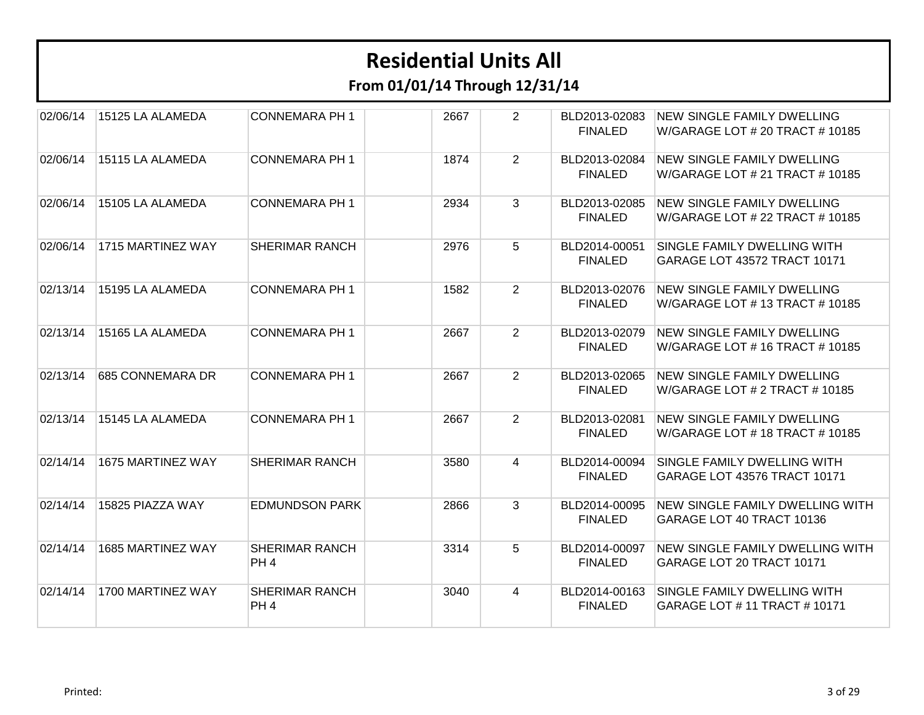| 02/06/14 | 15125 LA ALAMEDA  | <b>CONNEMARA PH 1</b>                    | 2667 | $\overline{2}$ | BLD2013-02083<br><b>FINALED</b> | <b>NEW SINGLE FAMILY DWELLING</b><br>W/GARAGE LOT # 20 TRACT # 10185 |
|----------|-------------------|------------------------------------------|------|----------------|---------------------------------|----------------------------------------------------------------------|
| 02/06/14 | 15115 LA ALAMEDA  | <b>CONNEMARA PH 1</b>                    | 1874 | $\overline{2}$ | BLD2013-02084<br><b>FINALED</b> | <b>NEW SINGLE FAMILY DWELLING</b><br>W/GARAGE LOT # 21 TRACT # 10185 |
| 02/06/14 | 15105 LA ALAMEDA  | <b>CONNEMARA PH 1</b>                    | 2934 | 3              | BLD2013-02085<br><b>FINALED</b> | <b>NEW SINGLE FAMILY DWELLING</b><br>W/GARAGE LOT # 22 TRACT # 10185 |
| 02/06/14 | 1715 MARTINEZ WAY | <b>SHERIMAR RANCH</b>                    | 2976 | 5              | BLD2014-00051<br><b>FINALED</b> | SINGLE FAMILY DWELLING WITH<br>GARAGE LOT 43572 TRACT 10171          |
| 02/13/14 | 15195 LA ALAMEDA  | <b>CONNEMARA PH 1</b>                    | 1582 | $\overline{2}$ | BLD2013-02076<br><b>FINALED</b> | <b>NEW SINGLE FAMILY DWELLING</b><br>W/GARAGE LOT # 13 TRACT # 10185 |
| 02/13/14 | 15165 LA ALAMEDA  | <b>CONNEMARA PH 1</b>                    | 2667 | $\overline{2}$ | BLD2013-02079<br><b>FINALED</b> | <b>NEW SINGLE FAMILY DWELLING</b><br>W/GARAGE LOT #16 TRACT #10185   |
| 02/13/14 | 685 CONNEMARA DR  | <b>CONNEMARA PH 1</b>                    | 2667 | $\overline{2}$ | BLD2013-02065<br><b>FINALED</b> | <b>NEW SINGLE FAMILY DWELLING</b><br>W/GARAGE LOT # 2 TRACT # 10185  |
| 02/13/14 | 15145 LA ALAMEDA  | <b>CONNEMARA PH 1</b>                    | 2667 | $\overline{2}$ | BLD2013-02081<br><b>FINALED</b> | <b>NEW SINGLE FAMILY DWELLING</b><br>W/GARAGE LOT #18 TRACT #10185   |
| 02/14/14 | 1675 MARTINEZ WAY | <b>SHERIMAR RANCH</b>                    | 3580 | 4              | BLD2014-00094<br><b>FINALED</b> | SINGLE FAMILY DWELLING WITH<br>GARAGE LOT 43576 TRACT 10171          |
| 02/14/14 | 15825 PIAZZA WAY  | <b>EDMUNDSON PARK</b>                    | 2866 | 3              | BLD2014-00095<br><b>FINALED</b> | <b>NEW SINGLE FAMILY DWELLING WITH</b><br>GARAGE LOT 40 TRACT 10136  |
| 02/14/14 | 1685 MARTINEZ WAY | <b>SHERIMAR RANCH</b><br>PH <sub>4</sub> | 3314 | 5              | BLD2014-00097<br><b>FINALED</b> | <b>NEW SINGLE FAMILY DWELLING WITH</b><br>GARAGE LOT 20 TRACT 10171  |
| 02/14/14 | 1700 MARTINEZ WAY | <b>SHERIMAR RANCH</b><br>PH <sub>4</sub> | 3040 | 4              | BLD2014-00163<br><b>FINALED</b> | SINGLE FAMILY DWELLING WITH<br>GARAGE LOT # 11 TRACT # 10171         |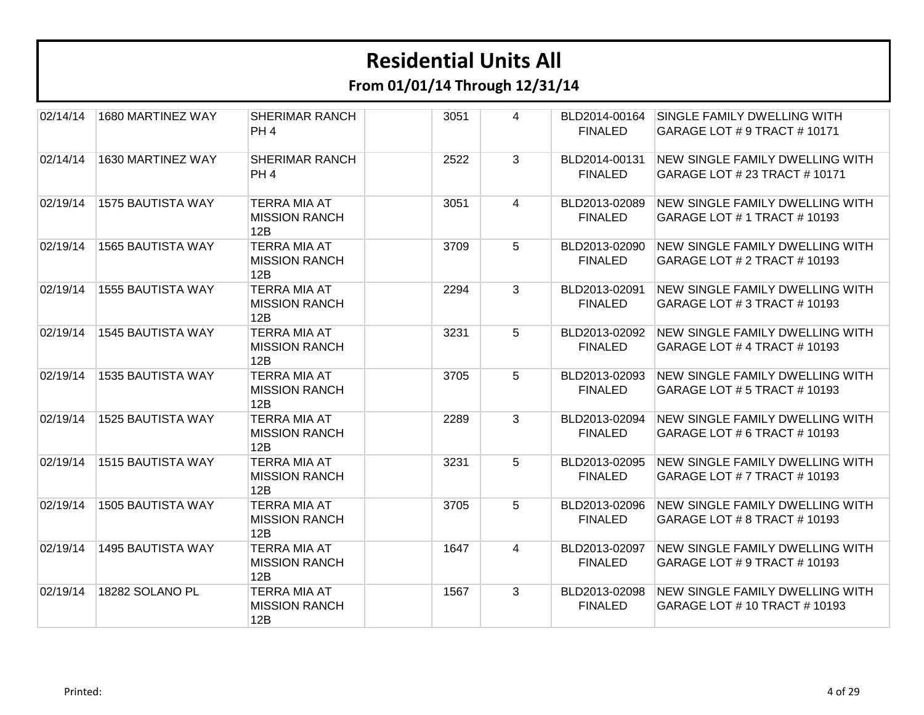| 02/14/14 | 1680 MARTINEZ WAY        | <b>SHERIMAR RANCH</b><br>PH <sub>4</sub>           | 3051 | 4              | BLD2014-00164<br><b>FINALED</b> | SINGLE FAMILY DWELLING WITH<br>GARAGE LOT # 9 TRACT # 10171            |
|----------|--------------------------|----------------------------------------------------|------|----------------|---------------------------------|------------------------------------------------------------------------|
| 02/14/14 | 1630 MARTINEZ WAY        | <b>SHERIMAR RANCH</b><br>PH <sub>4</sub>           | 2522 | 3              | BLD2014-00131<br><b>FINALED</b> | NEW SINGLE FAMILY DWELLING WITH<br>GARAGE LOT # 23 TRACT # 10171       |
| 02/19/14 | <b>1575 BAUTISTA WAY</b> | <b>TERRA MIA AT</b><br><b>MISSION RANCH</b><br>12B | 3051 | $\overline{4}$ | BLD2013-02089<br><b>FINALED</b> | NEW SINGLE FAMILY DWELLING WITH<br>GARAGE LOT # 1 TRACT # 10193        |
| 02/19/14 | <b>1565 BAUTISTA WAY</b> | <b>TERRA MIA AT</b><br><b>MISSION RANCH</b><br>12B | 3709 | 5              | BLD2013-02090<br><b>FINALED</b> | <b>NEW SINGLE FAMILY DWELLING WITH</b><br>GARAGE LOT # 2 TRACT # 10193 |
| 02/19/14 | <b>1555 BAUTISTA WAY</b> | <b>TERRA MIA AT</b><br><b>MISSION RANCH</b><br>12B | 2294 | $\mathbf{3}$   | BLD2013-02091<br><b>FINALED</b> | <b>NEW SINGLE FAMILY DWELLING WITH</b><br>GARAGE LOT # 3 TRACT # 10193 |
| 02/19/14 | <b>1545 BAUTISTA WAY</b> | <b>TERRA MIA AT</b><br><b>MISSION RANCH</b><br>12B | 3231 | 5              | BLD2013-02092<br><b>FINALED</b> | NEW SINGLE FAMILY DWELLING WITH<br>GARAGE LOT # 4 TRACT # 10193        |
| 02/19/14 | <b>1535 BAUTISTA WAY</b> | <b>TERRA MIA AT</b><br><b>MISSION RANCH</b><br>12B | 3705 | 5              | BLD2013-02093<br><b>FINALED</b> | NEW SINGLE FAMILY DWELLING WITH<br>GARAGE LOT # 5 TRACT # 10193        |
| 02/19/14 | 1525 BAUTISTA WAY        | <b>TERRA MIA AT</b><br><b>MISSION RANCH</b><br>12B | 2289 | 3              | BLD2013-02094<br><b>FINALED</b> | NEW SINGLE FAMILY DWELLING WITH<br>GARAGE LOT # 6 TRACT # 10193        |
| 02/19/14 | <b>1515 BAUTISTA WAY</b> | <b>TERRA MIA AT</b><br><b>MISSION RANCH</b><br>12B | 3231 | 5              | BLD2013-02095<br><b>FINALED</b> | NEW SINGLE FAMILY DWELLING WITH<br>GARAGE LOT # 7 TRACT # 10193        |
| 02/19/14 | 1505 BAUTISTA WAY        | <b>TERRA MIA AT</b><br><b>MISSION RANCH</b><br>12B | 3705 | 5              | BLD2013-02096<br><b>FINALED</b> | <b>NEW SINGLE FAMILY DWELLING WITH</b><br>GARAGE LOT # 8 TRACT # 10193 |
| 02/19/14 | <b>1495 BAUTISTA WAY</b> | <b>TERRA MIA AT</b><br><b>MISSION RANCH</b><br>12B | 1647 | $\overline{4}$ | BLD2013-02097<br><b>FINALED</b> | <b>NEW SINGLE FAMILY DWELLING WITH</b><br>GARAGE LOT # 9 TRACT # 10193 |
| 02/19/14 | 18282 SOLANO PL          | <b>TERRA MIA AT</b><br><b>MISSION RANCH</b><br>12B | 1567 | 3              | BLD2013-02098<br><b>FINALED</b> | NEW SINGLE FAMILY DWELLING WITH<br>GARAGE LOT # 10 TRACT # 10193       |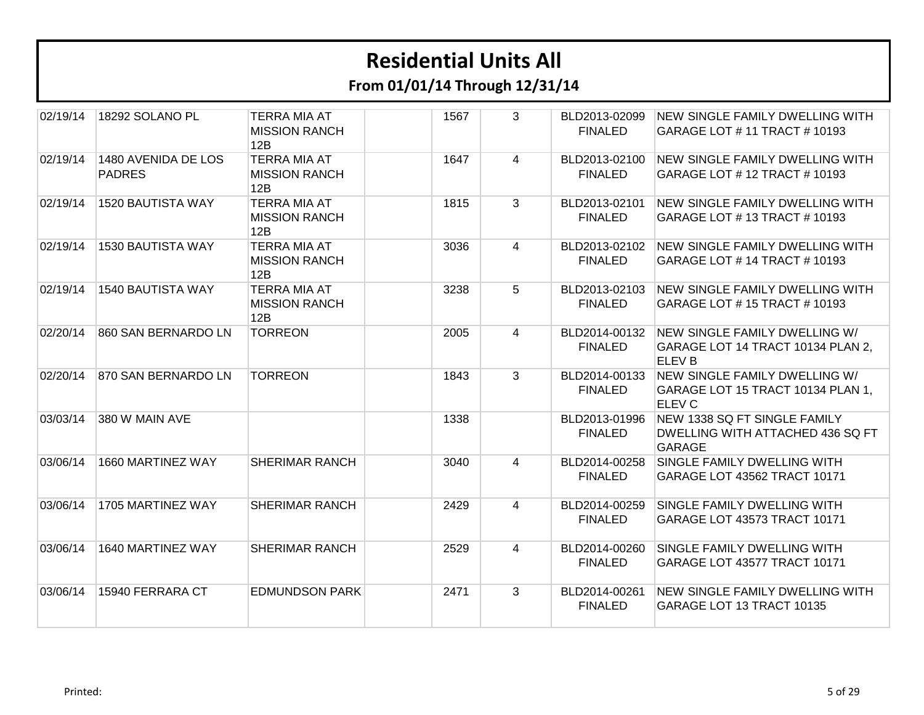| 02/19/14 | 18292 SOLANO PL                      | <b>TERRA MIA AT</b><br><b>MISSION RANCH</b><br>12B | 1567 | 3              | BLD2013-02099<br><b>FINALED</b> | <b>INEW SINGLE FAMILY DWELLING WITH</b><br>GARAGE LOT # 11 TRACT # 10193            |
|----------|--------------------------------------|----------------------------------------------------|------|----------------|---------------------------------|-------------------------------------------------------------------------------------|
| 02/19/14 | 1480 AVENIDA DE LOS<br><b>PADRES</b> | <b>TERRA MIA AT</b><br><b>MISSION RANCH</b><br>12B | 1647 | 4              | BLD2013-02100<br><b>FINALED</b> | <b>NEW SINGLE FAMILY DWELLING WITH</b><br>GARAGE LOT # 12 TRACT # 10193             |
| 02/19/14 | 1520 BAUTISTA WAY                    | <b>TERRA MIA AT</b><br><b>MISSION RANCH</b><br>12B | 1815 | 3              | BLD2013-02101<br><b>FINALED</b> | NEW SINGLE FAMILY DWELLING WITH<br>GARAGE LOT #13 TRACT #10193                      |
| 02/19/14 | <b>1530 BAUTISTA WAY</b>             | <b>TERRA MIA AT</b><br><b>MISSION RANCH</b><br>12B | 3036 | 4              | BLD2013-02102<br><b>FINALED</b> | <b>NEW SINGLE FAMILY DWELLING WITH</b><br>GARAGE LOT # 14 TRACT # 10193             |
| 02/19/14 | <b>1540 BAUTISTA WAY</b>             | <b>TERRA MIA AT</b><br><b>MISSION RANCH</b><br>12B | 3238 | 5              | BLD2013-02103<br><b>FINALED</b> | <b>NEW SINGLE FAMILY DWELLING WITH</b><br>GARAGE LOT #15 TRACT #10193               |
| 02/20/14 | 860 SAN BERNARDO LN                  | <b>TORREON</b>                                     | 2005 | $\overline{4}$ | BLD2014-00132<br><b>FINALED</b> | NEW SINGLE FAMILY DWELLING W/<br>GARAGE LOT 14 TRACT 10134 PLAN 2,<br><b>ELEVB</b>  |
| 02/20/14 | 870 SAN BERNARDO LN                  | <b>TORREON</b>                                     | 1843 | $\mathbf{3}$   | BLD2014-00133<br><b>FINALED</b> | NEW SINGLE FAMILY DWELLING W/<br>GARAGE LOT 15 TRACT 10134 PLAN 1,<br><b>ELEV C</b> |
| 03/03/14 | 380 W MAIN AVE                       |                                                    | 1338 |                | BLD2013-01996<br><b>FINALED</b> | NEW 1338 SQ FT SINGLE FAMILY<br>DWELLING WITH ATTACHED 436 SQ FT<br><b>GARAGE</b>   |
| 03/06/14 | 1660 MARTINEZ WAY                    | <b>SHERIMAR RANCH</b>                              | 3040 | 4              | BLD2014-00258<br><b>FINALED</b> | SINGLE FAMILY DWELLING WITH<br>GARAGE LOT 43562 TRACT 10171                         |
| 03/06/14 | 1705 MARTINEZ WAY                    | <b>SHERIMAR RANCH</b>                              | 2429 | 4              | BLD2014-00259<br><b>FINALED</b> | SINGLE FAMILY DWELLING WITH<br>GARAGE LOT 43573 TRACT 10171                         |
| 03/06/14 | 1640 MARTINEZ WAY                    | <b>SHERIMAR RANCH</b>                              | 2529 | 4              | BLD2014-00260<br><b>FINALED</b> | SINGLE FAMILY DWELLING WITH<br>GARAGE LOT 43577 TRACT 10171                         |
| 03/06/14 | 15940 FERRARA CT                     | <b>EDMUNDSON PARK</b>                              | 2471 | 3              | BLD2014-00261<br><b>FINALED</b> | NEW SINGLE FAMILY DWELLING WITH<br>GARAGE LOT 13 TRACT 10135                        |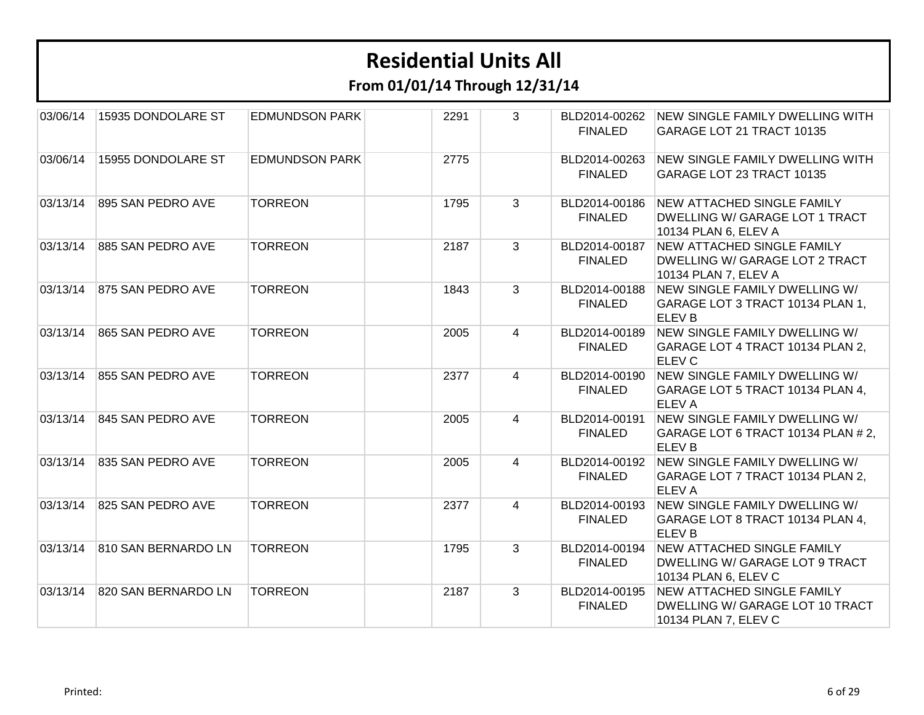| 03/06/14 | 15935 DONDOLARE ST  | <b>EDMUNDSON PARK</b> | 2291 | 3 | BLD2014-00262<br><b>FINALED</b> | <b>NEW SINGLE FAMILY DWELLING WITH</b><br>GARAGE LOT 21 TRACT 10135                                |
|----------|---------------------|-----------------------|------|---|---------------------------------|----------------------------------------------------------------------------------------------------|
| 03/06/14 | 15955 DONDOLARE ST  | <b>EDMUNDSON PARK</b> | 2775 |   | BLD2014-00263<br><b>FINALED</b> | NEW SINGLE FAMILY DWELLING WITH<br>GARAGE LOT 23 TRACT 10135                                       |
| 03/13/14 | 895 SAN PEDRO AVE   | <b>TORREON</b>        | 1795 | 3 | BLD2014-00186<br><b>FINALED</b> | <b>NEW ATTACHED SINGLE FAMILY</b><br><b>DWELLING W/ GARAGE LOT 1 TRACT</b><br>10134 PLAN 6, ELEV A |
| 03/13/14 | 885 SAN PEDRO AVE   | <b>TORREON</b>        | 2187 | 3 | BLD2014-00187<br><b>FINALED</b> | <b>NEW ATTACHED SINGLE FAMILY</b><br>DWELLING W/ GARAGE LOT 2 TRACT<br>10134 PLAN 7, ELEV A        |
| 03/13/14 | 875 SAN PEDRO AVE   | <b>TORREON</b>        | 1843 | 3 | BLD2014-00188<br><b>FINALED</b> | NEW SINGLE FAMILY DWELLING W/<br>GARAGE LOT 3 TRACT 10134 PLAN 1,<br><b>ELEV B</b>                 |
| 03/13/14 | 865 SAN PEDRO AVE   | <b>TORREON</b>        | 2005 | 4 | BLD2014-00189<br><b>FINALED</b> | NEW SINGLE FAMILY DWELLING W/<br>GARAGE LOT 4 TRACT 10134 PLAN 2,<br><b>ELEV C</b>                 |
| 03/13/14 | 855 SAN PEDRO AVE   | <b>TORREON</b>        | 2377 | 4 | BLD2014-00190<br><b>FINALED</b> | NEW SINGLE FAMILY DWELLING W/<br>GARAGE LOT 5 TRACT 10134 PLAN 4,<br><b>ELEVA</b>                  |
| 03/13/14 | 845 SAN PEDRO AVE   | <b>TORREON</b>        | 2005 | 4 | BLD2014-00191<br><b>FINALED</b> | NEW SINGLE FAMILY DWELLING W/<br>GARAGE LOT 6 TRACT 10134 PLAN # 2,<br><b>ELEV B</b>               |
| 03/13/14 | 835 SAN PEDRO AVE   | <b>TORREON</b>        | 2005 | 4 | BLD2014-00192<br><b>FINALED</b> | NEW SINGLE FAMILY DWELLING W/<br>GARAGE LOT 7 TRACT 10134 PLAN 2,<br><b>ELEVA</b>                  |
| 03/13/14 | 825 SAN PEDRO AVE   | <b>TORREON</b>        | 2377 | 4 | BLD2014-00193<br><b>FINALED</b> | NEW SINGLE FAMILY DWELLING W/<br>GARAGE LOT 8 TRACT 10134 PLAN 4,<br><b>ELEV B</b>                 |
| 03/13/14 | 810 SAN BERNARDO LN | <b>TORREON</b>        | 1795 | 3 | BLD2014-00194<br><b>FINALED</b> | <b>NEW ATTACHED SINGLE FAMILY</b><br>DWELLING W/ GARAGE LOT 9 TRACT<br>10134 PLAN 6, ELEV C        |
| 03/13/14 | 820 SAN BERNARDO LN | <b>TORREON</b>        | 2187 | 3 | BLD2014-00195<br><b>FINALED</b> | <b>NEW ATTACHED SINGLE FAMILY</b><br>DWELLING W/ GARAGE LOT 10 TRACT<br>10134 PLAN 7, ELEV C       |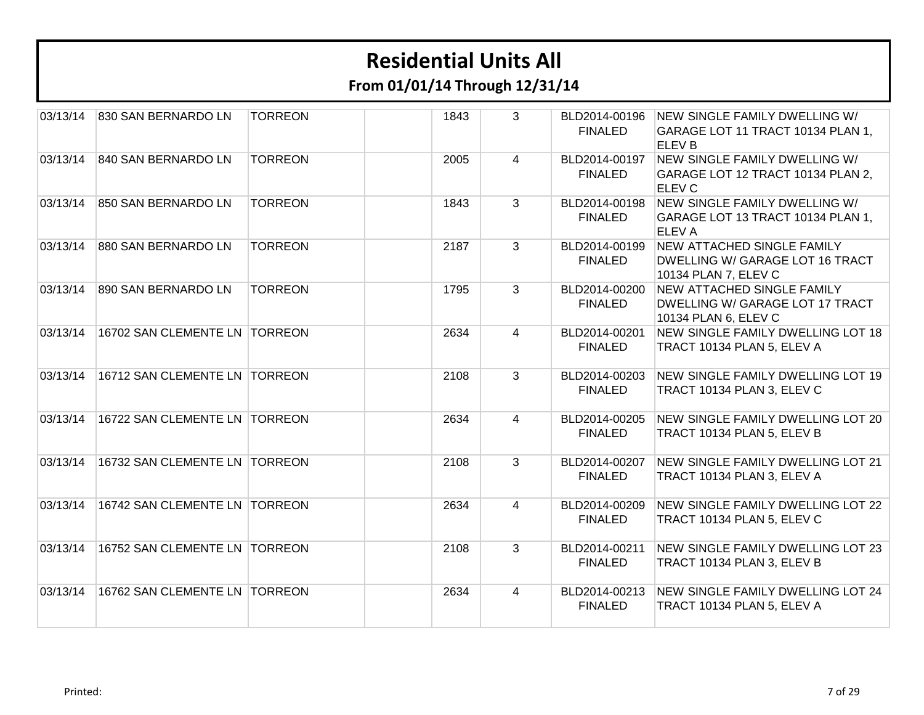| 03/13/14 | 830 SAN BERNARDO LN           | <b>TORREON</b> | 1843 | 3              | <b>FINALED</b>                  | BLD2014-00196 NEW SINGLE FAMILY DWELLING W/<br>GARAGE LOT 11 TRACT 10134 PLAN 1,<br><b>ELEVB</b> |
|----------|-------------------------------|----------------|------|----------------|---------------------------------|--------------------------------------------------------------------------------------------------|
| 03/13/14 | 840 SAN BERNARDO LN           | <b>TORREON</b> | 2005 | $\overline{4}$ | BLD2014-00197<br><b>FINALED</b> | NEW SINGLE FAMILY DWELLING W/<br>GARAGE LOT 12 TRACT 10134 PLAN 2,<br><b>ELEV C</b>              |
| 03/13/14 | 850 SAN BERNARDO LN           | <b>TORREON</b> | 1843 | $\mathbf{3}$   | BLD2014-00198<br><b>FINALED</b> | NEW SINGLE FAMILY DWELLING W/<br>GARAGE LOT 13 TRACT 10134 PLAN 1,<br><b>ELEVA</b>               |
| 03/13/14 | 880 SAN BERNARDO LN           | <b>TORREON</b> | 2187 | 3              | BLD2014-00199<br><b>FINALED</b> | <b>NEW ATTACHED SINGLE FAMILY</b><br>DWELLING W/ GARAGE LOT 16 TRACT<br>10134 PLAN 7, ELEV C     |
| 03/13/14 | 890 SAN BERNARDO LN           | <b>TORREON</b> | 1795 | 3              | BLD2014-00200<br><b>FINALED</b> | <b>NEW ATTACHED SINGLE FAMILY</b><br>DWELLING W/ GARAGE LOT 17 TRACT<br>10134 PLAN 6, ELEV C     |
| 03/13/14 | 16702 SAN CLEMENTE LN TORREON |                | 2634 | $\overline{4}$ | BLD2014-00201<br><b>FINALED</b> | NEW SINGLE FAMILY DWELLING LOT 18<br>TRACT 10134 PLAN 5, ELEV A                                  |
| 03/13/14 | 16712 SAN CLEMENTE LN TORREON |                | 2108 | $\mathbf{3}$   | BLD2014-00203<br><b>FINALED</b> | NEW SINGLE FAMILY DWELLING LOT 19<br>TRACT 10134 PLAN 3, ELEV C                                  |
| 03/13/14 | 16722 SAN CLEMENTE LN TORREON |                | 2634 | $\overline{4}$ | BLD2014-00205<br><b>FINALED</b> | NEW SINGLE FAMILY DWELLING LOT 20<br>TRACT 10134 PLAN 5, ELEV B                                  |
| 03/13/14 | 16732 SAN CLEMENTE LN TORREON |                | 2108 | 3              | BLD2014-00207<br><b>FINALED</b> | NEW SINGLE FAMILY DWELLING LOT 21<br>TRACT 10134 PLAN 3, ELEV A                                  |
| 03/13/14 | 16742 SAN CLEMENTE LN TORREON |                | 2634 | $\overline{4}$ | BLD2014-00209<br><b>FINALED</b> | <b>NEW SINGLE FAMILY DWELLING LOT 22</b><br>TRACT 10134 PLAN 5, ELEV C                           |
| 03/13/14 | 16752 SAN CLEMENTE LN TORREON |                | 2108 | 3              | BLD2014-00211<br><b>FINALED</b> | NEW SINGLE FAMILY DWELLING LOT 23<br>TRACT 10134 PLAN 3, ELEV B                                  |
| 03/13/14 | 16762 SAN CLEMENTE LN TORREON |                | 2634 | $\overline{4}$ | <b>FINALED</b>                  | BLD2014-00213 NEW SINGLE FAMILY DWELLING LOT 24<br>TRACT 10134 PLAN 5, ELEV A                    |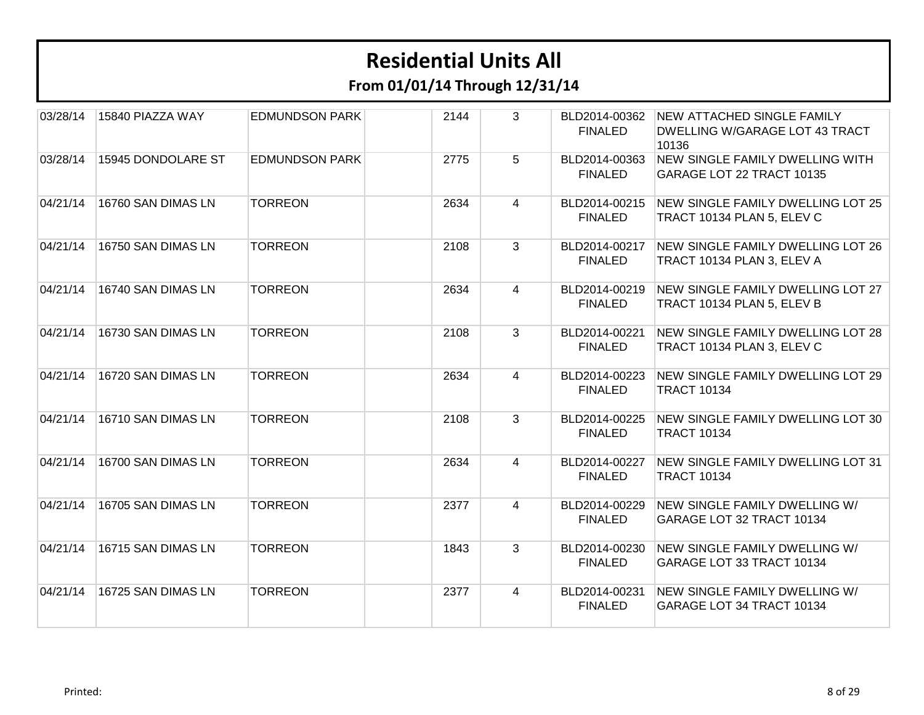| 03/28/14 | 15840 PIAZZA WAY   | <b>EDMUNDSON PARK</b> | 2144 | 3              | BLD2014-00362<br><b>FINALED</b> | <b>NEW ATTACHED SINGLE FAMILY</b><br>DWELLING W/GARAGE LOT 43 TRACT<br>10136 |
|----------|--------------------|-----------------------|------|----------------|---------------------------------|------------------------------------------------------------------------------|
| 03/28/14 | 15945 DONDOLARE ST | <b>EDMUNDSON PARK</b> | 2775 | 5              | BLD2014-00363<br><b>FINALED</b> | <b>NEW SINGLE FAMILY DWELLING WITH</b><br>GARAGE LOT 22 TRACT 10135          |
| 04/21/14 | 16760 SAN DIMAS LN | <b>TORREON</b>        | 2634 | 4              | BLD2014-00215<br><b>FINALED</b> | <b>NEW SINGLE FAMILY DWELLING LOT 25</b><br>TRACT 10134 PLAN 5, ELEV C       |
| 04/21/14 | 16750 SAN DIMAS LN | <b>TORREON</b>        | 2108 | 3              | BLD2014-00217<br><b>FINALED</b> | NEW SINGLE FAMILY DWELLING LOT 26<br>TRACT 10134 PLAN 3, ELEV A              |
| 04/21/14 | 16740 SAN DIMAS LN | <b>TORREON</b>        | 2634 | 4              | BLD2014-00219<br><b>FINALED</b> | <b>NEW SINGLE FAMILY DWELLING LOT 27</b><br>TRACT 10134 PLAN 5, ELEV B       |
| 04/21/14 | 16730 SAN DIMAS LN | <b>TORREON</b>        | 2108 | $\mathbf{3}$   | BLD2014-00221<br><b>FINALED</b> | <b>NEW SINGLE FAMILY DWELLING LOT 28</b><br>TRACT 10134 PLAN 3, ELEV C       |
| 04/21/14 | 16720 SAN DIMAS LN | <b>TORREON</b>        | 2634 | $\overline{4}$ | BLD2014-00223<br><b>FINALED</b> | NEW SINGLE FAMILY DWELLING LOT 29<br><b>TRACT 10134</b>                      |
| 04/21/14 | 16710 SAN DIMAS LN | <b>TORREON</b>        | 2108 | 3              | BLD2014-00225<br><b>FINALED</b> | NEW SINGLE FAMILY DWELLING LOT 30<br><b>TRACT 10134</b>                      |
| 04/21/14 | 16700 SAN DIMAS LN | <b>TORREON</b>        | 2634 | 4              | BLD2014-00227<br><b>FINALED</b> | NEW SINGLE FAMILY DWELLING LOT 31<br><b>TRACT 10134</b>                      |
| 04/21/14 | 16705 SAN DIMAS LN | <b>TORREON</b>        | 2377 | 4              | BLD2014-00229<br><b>FINALED</b> | NEW SINGLE FAMILY DWELLING W/<br>GARAGE LOT 32 TRACT 10134                   |
| 04/21/14 | 16715 SAN DIMAS LN | <b>TORREON</b>        | 1843 | 3              | BLD2014-00230<br><b>FINALED</b> | NEW SINGLE FAMILY DWELLING W/<br>GARAGE LOT 33 TRACT 10134                   |
| 04/21/14 | 16725 SAN DIMAS LN | <b>TORREON</b>        | 2377 | 4              | BLD2014-00231<br><b>FINALED</b> | NEW SINGLE FAMILY DWELLING W/<br>GARAGE LOT 34 TRACT 10134                   |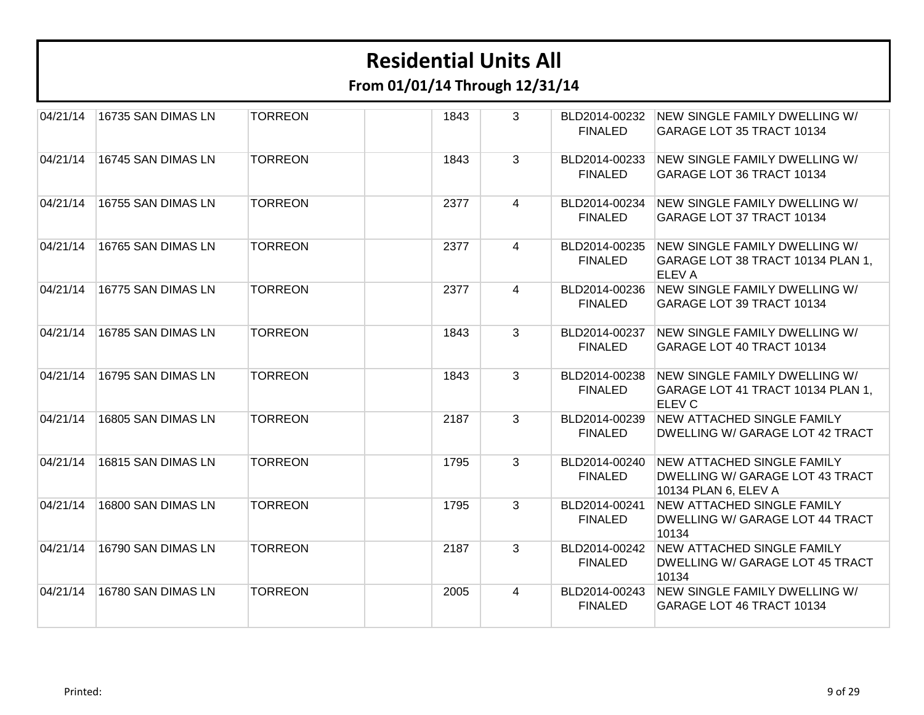| 04/21/14 | 16735 SAN DIMAS LN | <b>TORREON</b> | 1843 | 3              | BLD2014-00232<br><b>FINALED</b> | NEW SINGLE FAMILY DWELLING W/<br>GARAGE LOT 35 TRACT 10134                                   |
|----------|--------------------|----------------|------|----------------|---------------------------------|----------------------------------------------------------------------------------------------|
| 04/21/14 | 16745 SAN DIMAS LN | <b>TORREON</b> | 1843 | 3              | BLD2014-00233<br><b>FINALED</b> | NEW SINGLE FAMILY DWELLING W/<br>GARAGE LOT 36 TRACT 10134                                   |
| 04/21/14 | 16755 SAN DIMAS LN | <b>TORREON</b> | 2377 | 4              | BLD2014-00234<br><b>FINALED</b> | NEW SINGLE FAMILY DWELLING W/<br>GARAGE LOT 37 TRACT 10134                                   |
| 04/21/14 | 16765 SAN DIMAS LN | <b>TORREON</b> | 2377 | 4              | BLD2014-00235<br><b>FINALED</b> | NEW SINGLE FAMILY DWELLING W/<br>GARAGE LOT 38 TRACT 10134 PLAN 1,<br><b>ELEVA</b>           |
| 04/21/14 | 16775 SAN DIMAS LN | <b>TORREON</b> | 2377 | 4              | BLD2014-00236<br><b>FINALED</b> | NEW SINGLE FAMILY DWELLING W/<br>GARAGE LOT 39 TRACT 10134                                   |
| 04/21/14 | 16785 SAN DIMAS LN | <b>TORREON</b> | 1843 | $\mathbf{3}$   | BLD2014-00237<br><b>FINALED</b> | NEW SINGLE FAMILY DWELLING W/<br>GARAGE LOT 40 TRACT 10134                                   |
| 04/21/14 | 16795 SAN DIMAS LN | <b>TORREON</b> | 1843 | $\mathbf{3}$   | BLD2014-00238<br><b>FINALED</b> | NEW SINGLE FAMILY DWELLING W/<br>GARAGE LOT 41 TRACT 10134 PLAN 1,<br><b>ELEV C</b>          |
| 04/21/14 | 16805 SAN DIMAS LN | <b>TORREON</b> | 2187 | $\overline{3}$ | BLD2014-00239<br><b>FINALED</b> | NEW ATTACHED SINGLE FAMILY<br>DWELLING W/ GARAGE LOT 42 TRACT                                |
| 04/21/14 | 16815 SAN DIMAS LN | <b>TORREON</b> | 1795 | 3              | BLD2014-00240<br><b>FINALED</b> | <b>NEW ATTACHED SINGLE FAMILY</b><br>DWELLING W/ GARAGE LOT 43 TRACT<br>10134 PLAN 6, ELEV A |
| 04/21/14 | 16800 SAN DIMAS LN | <b>TORREON</b> | 1795 | 3              | BLD2014-00241<br><b>FINALED</b> | <b>NEW ATTACHED SINGLE FAMILY</b><br>DWELLING W/ GARAGE LOT 44 TRACT<br>10134                |
| 04/21/14 | 16790 SAN DIMAS LN | <b>TORREON</b> | 2187 | 3              | BLD2014-00242<br><b>FINALED</b> | NEW ATTACHED SINGLE FAMILY<br>DWELLING W/ GARAGE LOT 45 TRACT<br>10134                       |
| 04/21/14 | 16780 SAN DIMAS LN | <b>TORREON</b> | 2005 | $\overline{4}$ | BLD2014-00243<br><b>FINALED</b> | NEW SINGLE FAMILY DWELLING W/<br>GARAGE LOT 46 TRACT 10134                                   |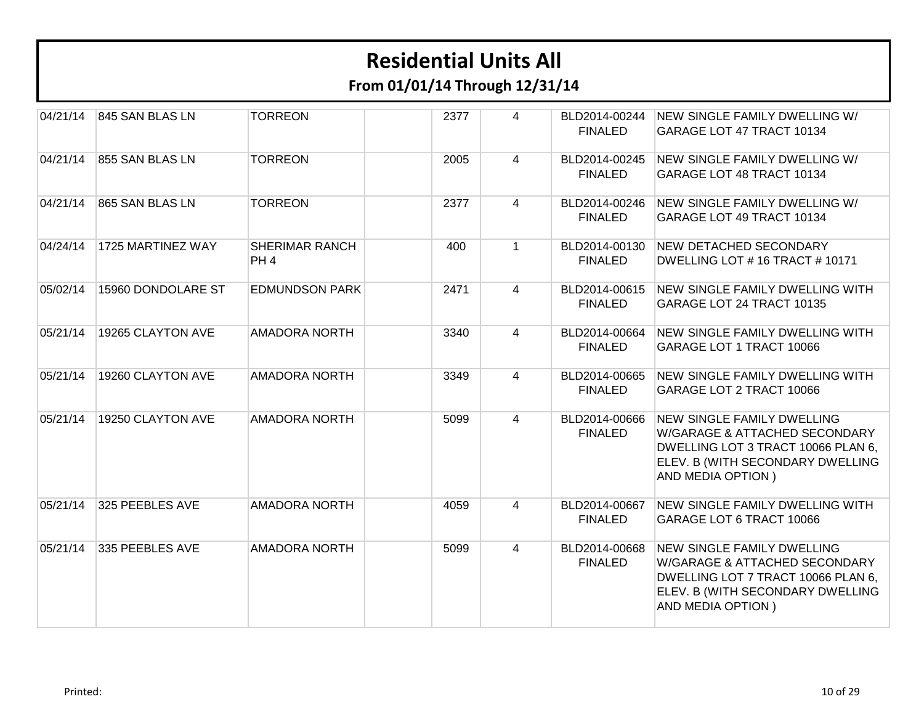| 04/21/14 | 845 SAN BLAS LN    | <b>TORREON</b>                           | 2377 | 4              | BLD2014-00244<br><b>FINALED</b> | NEW SINGLE FAMILY DWELLING W/<br>GARAGE LOT 47 TRACT 10134                                                                                                        |
|----------|--------------------|------------------------------------------|------|----------------|---------------------------------|-------------------------------------------------------------------------------------------------------------------------------------------------------------------|
| 04/21/14 | 855 SAN BLAS LN    | <b>TORREON</b>                           | 2005 | 4              | BLD2014-00245<br><b>FINALED</b> | NEW SINGLE FAMILY DWELLING W/<br>GARAGE LOT 48 TRACT 10134                                                                                                        |
| 04/21/14 | 865 SAN BLAS LN    | <b>TORREON</b>                           | 2377 | 4              | BLD2014-00246<br><b>FINALED</b> | NEW SINGLE FAMILY DWELLING W/<br>GARAGE LOT 49 TRACT 10134                                                                                                        |
| 04/24/14 | 1725 MARTINEZ WAY  | <b>SHERIMAR RANCH</b><br>PH <sub>4</sub> | 400  | $\mathbf 1$    | BLD2014-00130<br><b>FINALED</b> | <b>NEW DETACHED SECONDARY</b><br>DWELLING LOT #16 TRACT #10171                                                                                                    |
| 05/02/14 | 15960 DONDOLARE ST | <b>EDMUNDSON PARK</b>                    | 2471 | 4              | BLD2014-00615<br><b>FINALED</b> | <b>NEW SINGLE FAMILY DWELLING WITH</b><br>GARAGE LOT 24 TRACT 10135                                                                                               |
| 05/21/14 | 19265 CLAYTON AVE  | <b>AMADORA NORTH</b>                     | 3340 | 4              | BLD2014-00664<br><b>FINALED</b> | NEW SINGLE FAMILY DWELLING WITH<br>GARAGE LOT 1 TRACT 10066                                                                                                       |
| 05/21/14 | 19260 CLAYTON AVE  | <b>AMADORA NORTH</b>                     | 3349 | 4              | BLD2014-00665<br><b>FINALED</b> | <b>NEW SINGLE FAMILY DWELLING WITH</b><br>GARAGE LOT 2 TRACT 10066                                                                                                |
| 05/21/14 | 19250 CLAYTON AVE  | <b>AMADORA NORTH</b>                     | 5099 | $\overline{4}$ | BLD2014-00666<br><b>FINALED</b> | <b>NEW SINGLE FAMILY DWELLING</b><br>W/GARAGE & ATTACHED SECONDARY<br>DWELLING LOT 3 TRACT 10066 PLAN 6,<br>ELEV. B (WITH SECONDARY DWELLING<br>AND MEDIA OPTION) |
| 05/21/14 | 325 PEEBLES AVE    | <b>AMADORA NORTH</b>                     | 4059 | 4              | BLD2014-00667<br><b>FINALED</b> | <b>NEW SINGLE FAMILY DWELLING WITH</b><br>GARAGE LOT 6 TRACT 10066                                                                                                |
| 05/21/14 | 335 PEEBLES AVE    | <b>AMADORA NORTH</b>                     | 5099 | 4              | BLD2014-00668<br><b>FINALED</b> | <b>NEW SINGLE FAMILY DWELLING</b><br>W/GARAGE & ATTACHED SECONDARY<br>DWELLING LOT 7 TRACT 10066 PLAN 6,<br>ELEV. B (WITH SECONDARY DWELLING<br>AND MEDIA OPTION) |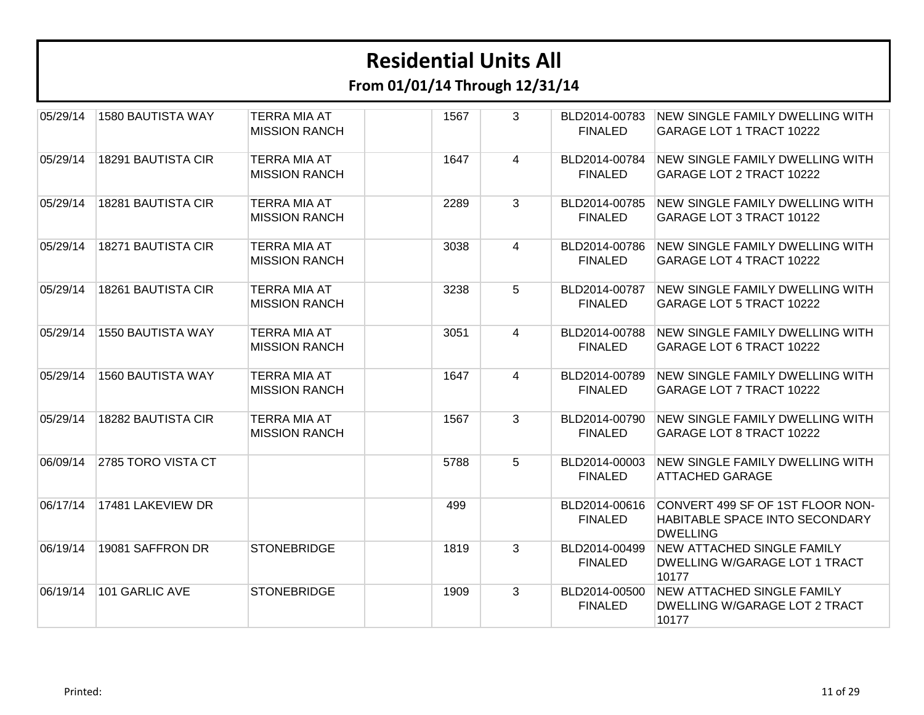| 05/29/14 | 1580 BAUTISTA WAY        | <b>TERRA MIA AT</b><br><b>MISSION RANCH</b> | 1567 | 3              | BLD2014-00783<br><b>FINALED</b> | <b>NEW SINGLE FAMILY DWELLING WITH</b><br>GARAGE LOT 1 TRACT 10222                    |
|----------|--------------------------|---------------------------------------------|------|----------------|---------------------------------|---------------------------------------------------------------------------------------|
| 05/29/14 | 18291 BAUTISTA CIR       | <b>TERRA MIA AT</b><br><b>MISSION RANCH</b> | 1647 | 4              | BLD2014-00784<br><b>FINALED</b> | <b>NEW SINGLE FAMILY DWELLING WITH</b><br>GARAGE LOT 2 TRACT 10222                    |
| 05/29/14 | 18281 BAUTISTA CIR       | <b>TERRA MIA AT</b><br><b>MISSION RANCH</b> | 2289 | $\mathbf{3}$   | BLD2014-00785<br><b>FINALED</b> | NEW SINGLE FAMILY DWELLING WITH<br>GARAGE LOT 3 TRACT 10122                           |
| 05/29/14 | 18271 BAUTISTA CIR       | <b>TERRA MIA AT</b><br><b>MISSION RANCH</b> | 3038 | $\overline{4}$ | BLD2014-00786<br><b>FINALED</b> | NEW SINGLE FAMILY DWELLING WITH<br>GARAGE LOT 4 TRACT 10222                           |
| 05/29/14 | 18261 BAUTISTA CIR       | <b>TERRA MIA AT</b><br><b>MISSION RANCH</b> | 3238 | 5              | BLD2014-00787<br><b>FINALED</b> | <b>NEW SINGLE FAMILY DWELLING WITH</b><br>GARAGE LOT 5 TRACT 10222                    |
| 05/29/14 | <b>1550 BAUTISTA WAY</b> | <b>TERRA MIA AT</b><br><b>MISSION RANCH</b> | 3051 | $\overline{4}$ | BLD2014-00788<br><b>FINALED</b> | NEW SINGLE FAMILY DWELLING WITH<br>GARAGE LOT 6 TRACT 10222                           |
| 05/29/14 | 1560 BAUTISTA WAY        | <b>TERRA MIA AT</b><br><b>MISSION RANCH</b> | 1647 | $\overline{4}$ | BLD2014-00789<br><b>FINALED</b> | NEW SINGLE FAMILY DWELLING WITH<br>GARAGE LOT 7 TRACT 10222                           |
| 05/29/14 | 18282 BAUTISTA CIR       | <b>TERRA MIA AT</b><br><b>MISSION RANCH</b> | 1567 | $\mathbf{3}$   | BLD2014-00790<br><b>FINALED</b> | NEW SINGLE FAMILY DWELLING WITH<br>GARAGE LOT 8 TRACT 10222                           |
| 06/09/14 | 2785 TORO VISTA CT       |                                             | 5788 | 5              | BLD2014-00003<br><b>FINALED</b> | NEW SINGLE FAMILY DWELLING WITH<br><b>ATTACHED GARAGE</b>                             |
| 06/17/14 | 17481 LAKEVIEW DR        |                                             | 499  |                | BLD2014-00616<br><b>FINALED</b> | CONVERT 499 SF OF 1ST FLOOR NON-<br>HABITABLE SPACE INTO SECONDARY<br><b>DWELLING</b> |
| 06/19/14 | 19081 SAFFRON DR         | <b>STONEBRIDGE</b>                          | 1819 | 3              | BLD2014-00499<br><b>FINALED</b> | <b>NEW ATTACHED SINGLE FAMILY</b><br>DWELLING W/GARAGE LOT 1 TRACT<br>10177           |
| 06/19/14 | 101 GARLIC AVE           | <b>STONEBRIDGE</b>                          | 1909 | 3              | BLD2014-00500<br><b>FINALED</b> | <b>NEW ATTACHED SINGLE FAMILY</b><br>DWELLING W/GARAGE LOT 2 TRACT<br>10177           |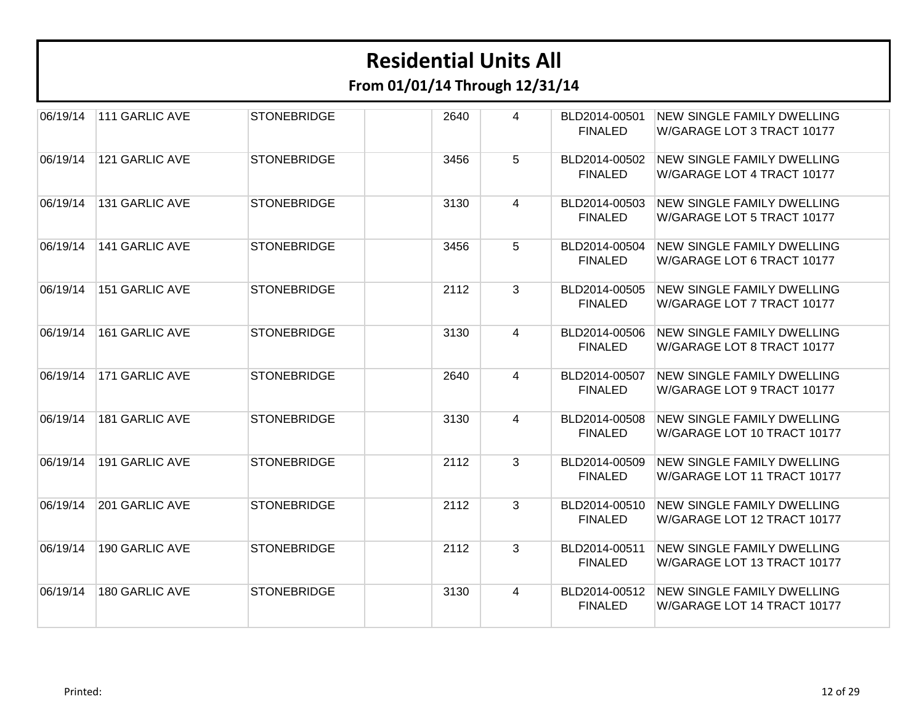| 06/19/14 | 111 GARLIC AVE        | <b>STONEBRIDGE</b> | 2640 | 4 | BLD2014-00501<br><b>FINALED</b> | <b>NEW SINGLE FAMILY DWELLING</b><br>W/GARAGE LOT 3 TRACT 10177  |
|----------|-----------------------|--------------------|------|---|---------------------------------|------------------------------------------------------------------|
| 06/19/14 | 121 GARLIC AVE        | <b>STONEBRIDGE</b> | 3456 | 5 | BLD2014-00502<br><b>FINALED</b> | NEW SINGLE FAMILY DWELLING<br>W/GARAGE LOT 4 TRACT 10177         |
| 06/19/14 | 131 GARLIC AVE        | <b>STONEBRIDGE</b> | 3130 | 4 | BLD2014-00503<br><b>FINALED</b> | <b>NEW SINGLE FAMILY DWELLING</b><br>W/GARAGE LOT 5 TRACT 10177  |
| 06/19/14 | <b>141 GARLIC AVE</b> | <b>STONEBRIDGE</b> | 3456 | 5 | BLD2014-00504<br><b>FINALED</b> | <b>NEW SINGLE FAMILY DWELLING</b><br>W/GARAGE LOT 6 TRACT 10177  |
| 06/19/14 | <b>151 GARLIC AVE</b> | <b>STONEBRIDGE</b> | 2112 | 3 | BLD2014-00505<br><b>FINALED</b> | <b>NEW SINGLE FAMILY DWELLING</b><br>W/GARAGE LOT 7 TRACT 10177  |
| 06/19/14 | <b>161 GARLIC AVE</b> | <b>STONEBRIDGE</b> | 3130 | 4 | BLD2014-00506<br><b>FINALED</b> | <b>NEW SINGLE FAMILY DWELLING</b><br>W/GARAGE LOT 8 TRACT 10177  |
| 06/19/14 | 171 GARLIC AVE        | <b>STONEBRIDGE</b> | 2640 | 4 | BLD2014-00507<br><b>FINALED</b> | <b>NEW SINGLE FAMILY DWELLING</b><br>W/GARAGE LOT 9 TRACT 10177  |
| 06/19/14 | 181 GARLIC AVE        | <b>STONEBRIDGE</b> | 3130 | 4 | BLD2014-00508<br><b>FINALED</b> | <b>NEW SINGLE FAMILY DWELLING</b><br>W/GARAGE LOT 10 TRACT 10177 |
| 06/19/14 | <b>191 GARLIC AVE</b> | <b>STONEBRIDGE</b> | 2112 | 3 | BLD2014-00509<br><b>FINALED</b> | <b>NEW SINGLE FAMILY DWELLING</b><br>W/GARAGE LOT 11 TRACT 10177 |
| 06/19/14 | 201 GARLIC AVE        | <b>STONEBRIDGE</b> | 2112 | 3 | BLD2014-00510<br><b>FINALED</b> | <b>NEW SINGLE FAMILY DWELLING</b><br>W/GARAGE LOT 12 TRACT 10177 |
| 06/19/14 | <b>190 GARLIC AVE</b> | <b>STONEBRIDGE</b> | 2112 | 3 | BLD2014-00511<br><b>FINALED</b> | <b>NEW SINGLE FAMILY DWELLING</b><br>W/GARAGE LOT 13 TRACT 10177 |
| 06/19/14 | <b>180 GARLIC AVE</b> | <b>STONEBRIDGE</b> | 3130 | 4 | BLD2014-00512<br><b>FINALED</b> | NEW SINGLE FAMILY DWELLING<br>W/GARAGE LOT 14 TRACT 10177        |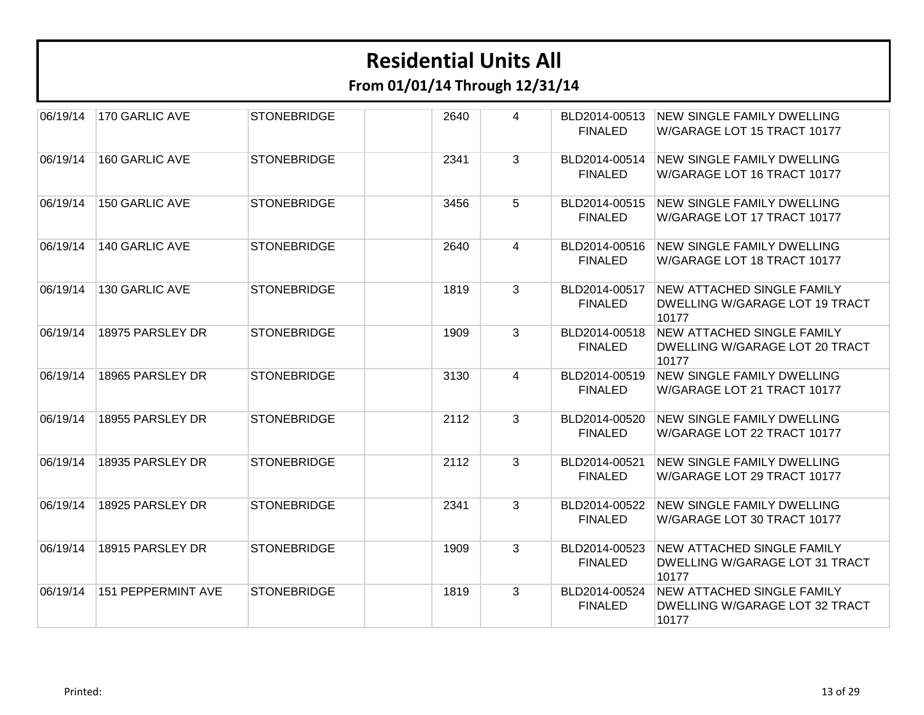| 06/19/14 | 170 GARLIC AVE     | <b>STONEBRIDGE</b> | 2640 | 4 | BLD2014-00513<br><b>FINALED</b> | <b>NEW SINGLE FAMILY DWELLING</b><br>W/GARAGE LOT 15 TRACT 10177             |
|----------|--------------------|--------------------|------|---|---------------------------------|------------------------------------------------------------------------------|
| 06/19/14 | 160 GARLIC AVE     | <b>STONEBRIDGE</b> | 2341 | 3 | BLD2014-00514<br><b>FINALED</b> | <b>NEW SINGLE FAMILY DWELLING</b><br>W/GARAGE LOT 16 TRACT 10177             |
| 06/19/14 | 150 GARLIC AVE     | <b>STONEBRIDGE</b> | 3456 | 5 | BLD2014-00515<br><b>FINALED</b> | NEW SINGLE FAMILY DWELLING<br>W/GARAGE LOT 17 TRACT 10177                    |
| 06/19/14 | 140 GARLIC AVE     | <b>STONEBRIDGE</b> | 2640 | 4 | BLD2014-00516<br><b>FINALED</b> | <b>NEW SINGLE FAMILY DWELLING</b><br>W/GARAGE LOT 18 TRACT 10177             |
| 06/19/14 | 130 GARLIC AVE     | <b>STONEBRIDGE</b> | 1819 | 3 | BLD2014-00517<br><b>FINALED</b> | <b>NEW ATTACHED SINGLE FAMILY</b><br>DWELLING W/GARAGE LOT 19 TRACT<br>10177 |
| 06/19/14 | 18975 PARSLEY DR   | <b>STONEBRIDGE</b> | 1909 | 3 | BLD2014-00518<br><b>FINALED</b> | <b>NEW ATTACHED SINGLE FAMILY</b><br>DWELLING W/GARAGE LOT 20 TRACT<br>10177 |
| 06/19/14 | 18965 PARSLEY DR   | <b>STONEBRIDGE</b> | 3130 | 4 | BLD2014-00519<br><b>FINALED</b> | NEW SINGLE FAMILY DWELLING<br>W/GARAGE LOT 21 TRACT 10177                    |
| 06/19/14 | 18955 PARSLEY DR   | <b>STONEBRIDGE</b> | 2112 | 3 | BLD2014-00520<br><b>FINALED</b> | <b>NEW SINGLE FAMILY DWELLING</b><br>W/GARAGE LOT 22 TRACT 10177             |
| 06/19/14 | 18935 PARSLEY DR   | <b>STONEBRIDGE</b> | 2112 | 3 | BLD2014-00521<br><b>FINALED</b> | <b>NEW SINGLE FAMILY DWELLING</b><br>W/GARAGE LOT 29 TRACT 10177             |
| 06/19/14 | 18925 PARSLEY DR   | <b>STONEBRIDGE</b> | 2341 | 3 | BLD2014-00522<br><b>FINALED</b> | <b>NEW SINGLE FAMILY DWELLING</b><br>W/GARAGE LOT 30 TRACT 10177             |
| 06/19/14 | 18915 PARSLEY DR   | <b>STONEBRIDGE</b> | 1909 | 3 | BLD2014-00523<br><b>FINALED</b> | <b>NEW ATTACHED SINGLE FAMILY</b><br>DWELLING W/GARAGE LOT 31 TRACT<br>10177 |
| 06/19/14 | 151 PEPPERMINT AVE | <b>STONEBRIDGE</b> | 1819 | 3 | BLD2014-00524<br><b>FINALED</b> | <b>NEW ATTACHED SINGLE FAMILY</b><br>DWELLING W/GARAGE LOT 32 TRACT<br>10177 |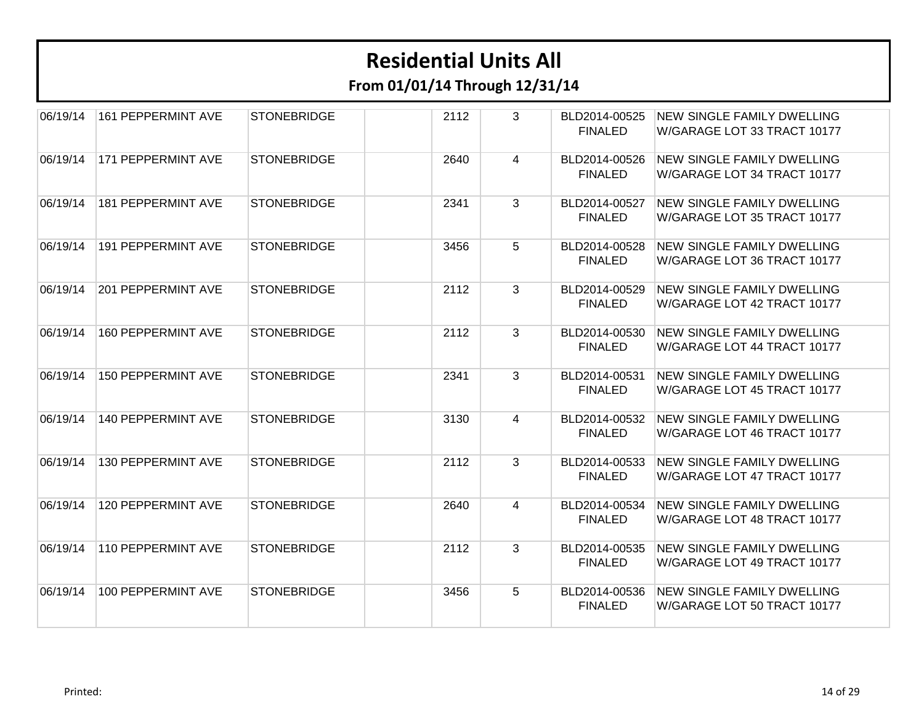| 06/19/14 | <b>161 PEPPERMINT AVE</b> | <b>STONEBRIDGE</b> | 2112 | 3 | BLD2014-00525<br><b>FINALED</b> | <b>NEW SINGLE FAMILY DWELLING</b><br>W/GARAGE LOT 33 TRACT 10177 |
|----------|---------------------------|--------------------|------|---|---------------------------------|------------------------------------------------------------------|
| 06/19/14 | 171 PEPPERMINT AVE        | <b>STONEBRIDGE</b> | 2640 | 4 | BLD2014-00526<br><b>FINALED</b> | <b>NEW SINGLE FAMILY DWELLING</b><br>W/GARAGE LOT 34 TRACT 10177 |
| 06/19/14 | 181 PEPPERMINT AVE        | <b>STONEBRIDGE</b> | 2341 | 3 | BLD2014-00527<br><b>FINALED</b> | <b>NEW SINGLE FAMILY DWELLING</b><br>W/GARAGE LOT 35 TRACT 10177 |
| 06/19/14 | <b>191 PEPPERMINT AVE</b> | <b>STONEBRIDGE</b> | 3456 | 5 | BLD2014-00528<br><b>FINALED</b> | <b>NEW SINGLE FAMILY DWELLING</b><br>W/GARAGE LOT 36 TRACT 10177 |
| 06/19/14 | 201 PEPPERMINT AVE        | <b>STONEBRIDGE</b> | 2112 | 3 | BLD2014-00529<br><b>FINALED</b> | <b>NEW SINGLE FAMILY DWELLING</b><br>W/GARAGE LOT 42 TRACT 10177 |
| 06/19/14 | <b>160 PEPPERMINT AVE</b> | <b>STONEBRIDGE</b> | 2112 | 3 | BLD2014-00530<br><b>FINALED</b> | <b>NEW SINGLE FAMILY DWELLING</b><br>W/GARAGE LOT 44 TRACT 10177 |
| 06/19/14 | <b>150 PEPPERMINT AVE</b> | <b>STONEBRIDGE</b> | 2341 | 3 | BLD2014-00531<br><b>FINALED</b> | <b>NEW SINGLE FAMILY DWELLING</b><br>W/GARAGE LOT 45 TRACT 10177 |
| 06/19/14 | <b>140 PEPPERMINT AVE</b> | <b>STONEBRIDGE</b> | 3130 | 4 | BLD2014-00532<br><b>FINALED</b> | <b>NEW SINGLE FAMILY DWELLING</b><br>W/GARAGE LOT 46 TRACT 10177 |
| 06/19/14 | 130 PEPPERMINT AVE        | <b>STONEBRIDGE</b> | 2112 | 3 | BLD2014-00533<br><b>FINALED</b> | <b>NEW SINGLE FAMILY DWELLING</b><br>W/GARAGE LOT 47 TRACT 10177 |
| 06/19/14 | 120 PEPPERMINT AVE        | <b>STONEBRIDGE</b> | 2640 | 4 | BLD2014-00534<br><b>FINALED</b> | <b>NEW SINGLE FAMILY DWELLING</b><br>W/GARAGE LOT 48 TRACT 10177 |
| 06/19/14 | 110 PEPPERMINT AVE        | <b>STONEBRIDGE</b> | 2112 | 3 | BLD2014-00535<br><b>FINALED</b> | <b>NEW SINGLE FAMILY DWELLING</b><br>W/GARAGE LOT 49 TRACT 10177 |
| 06/19/14 | 100 PEPPERMINT AVE        | <b>STONEBRIDGE</b> | 3456 | 5 | BLD2014-00536<br><b>FINALED</b> | <b>NEW SINGLE FAMILY DWELLING</b><br>W/GARAGE LOT 50 TRACT 10177 |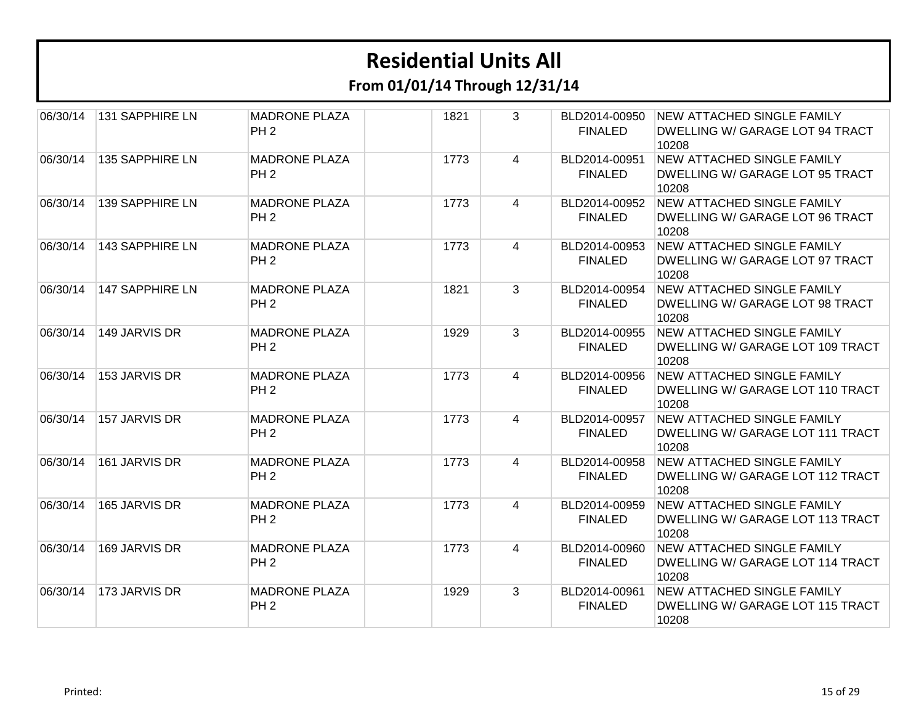| 06/30/14 | <b>131 SAPPHIRE LN</b> | <b>MADRONE PLAZA</b><br>PH <sub>2</sub> | 1821 | 3              | BLD2014-00950<br><b>FINALED</b> | <b>NEW ATTACHED SINGLE FAMILY</b><br>DWELLING W/ GARAGE LOT 94 TRACT<br>10208  |
|----------|------------------------|-----------------------------------------|------|----------------|---------------------------------|--------------------------------------------------------------------------------|
| 06/30/14 | 135 SAPPHIRE LN        | <b>MADRONE PLAZA</b><br>PH <sub>2</sub> | 1773 | 4              | BLD2014-00951<br><b>FINALED</b> | NEW ATTACHED SINGLE FAMILY<br>DWELLING W/ GARAGE LOT 95 TRACT<br>10208         |
| 06/30/14 | 139 SAPPHIRE LN        | <b>MADRONE PLAZA</b><br>PH <sub>2</sub> | 1773 | $\overline{4}$ | BLD2014-00952<br><b>FINALED</b> | NEW ATTACHED SINGLE FAMILY<br>DWELLING W/ GARAGE LOT 96 TRACT<br>10208         |
| 06/30/14 | 143 SAPPHIRE LN        | <b>MADRONE PLAZA</b><br>PH <sub>2</sub> | 1773 | 4              | BLD2014-00953<br><b>FINALED</b> | <b>NEW ATTACHED SINGLE FAMILY</b><br>DWELLING W/ GARAGE LOT 97 TRACT<br>10208  |
| 06/30/14 | <b>147 SAPPHIRE LN</b> | <b>MADRONE PLAZA</b><br>PH <sub>2</sub> | 1821 | 3              | BLD2014-00954<br><b>FINALED</b> | NEW ATTACHED SINGLE FAMILY<br>DWELLING W/ GARAGE LOT 98 TRACT<br>10208         |
| 06/30/14 | 149 JARVIS DR          | <b>MADRONE PLAZA</b><br>PH <sub>2</sub> | 1929 | 3              | BLD2014-00955<br><b>FINALED</b> | <b>NEW ATTACHED SINGLE FAMILY</b><br>DWELLING W/ GARAGE LOT 109 TRACT<br>10208 |
| 06/30/14 | 153 JARVIS DR          | <b>MADRONE PLAZA</b><br>PH <sub>2</sub> | 1773 | $\overline{4}$ | BLD2014-00956<br><b>FINALED</b> | <b>NEW ATTACHED SINGLE FAMILY</b><br>DWELLING W/ GARAGE LOT 110 TRACT<br>10208 |
| 06/30/14 | 157 JARVIS DR          | <b>MADRONE PLAZA</b><br>PH <sub>2</sub> | 1773 | 4              | BLD2014-00957<br><b>FINALED</b> | <b>NEW ATTACHED SINGLE FAMILY</b><br>DWELLING W/ GARAGE LOT 111 TRACT<br>10208 |
| 06/30/14 | 161 JARVIS DR          | <b>MADRONE PLAZA</b><br>PH <sub>2</sub> | 1773 | 4              | BLD2014-00958<br><b>FINALED</b> | NEW ATTACHED SINGLE FAMILY<br>DWELLING W/ GARAGE LOT 112 TRACT<br>10208        |
| 06/30/14 | 165 JARVIS DR          | <b>MADRONE PLAZA</b><br>PH <sub>2</sub> | 1773 | 4              | BLD2014-00959<br><b>FINALED</b> | <b>NEW ATTACHED SINGLE FAMILY</b><br>DWELLING W/ GARAGE LOT 113 TRACT<br>10208 |
| 06/30/14 | 169 JARVIS DR          | <b>MADRONE PLAZA</b><br>PH <sub>2</sub> | 1773 | 4              | BLD2014-00960<br><b>FINALED</b> | <b>NEW ATTACHED SINGLE FAMILY</b><br>DWELLING W/ GARAGE LOT 114 TRACT<br>10208 |
| 06/30/14 | 173 JARVIS DR          | <b>MADRONE PLAZA</b><br>PH <sub>2</sub> | 1929 | 3              | BLD2014-00961<br><b>FINALED</b> | <b>NEW ATTACHED SINGLE FAMILY</b><br>DWELLING W/ GARAGE LOT 115 TRACT<br>10208 |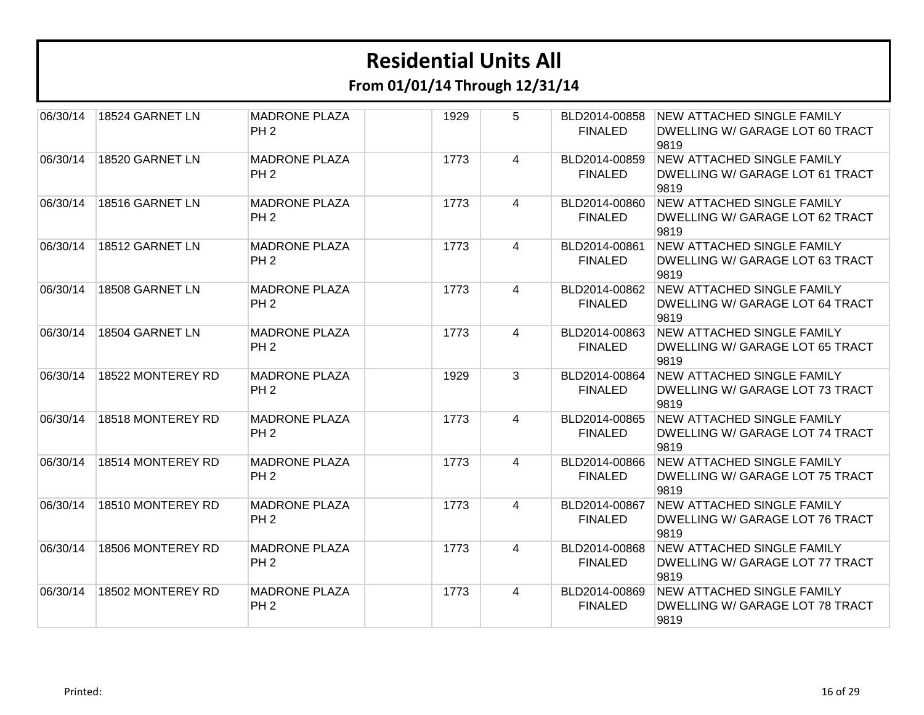**From 01/01/14 Through 12/31/14**

| 06/30/14 | 18524 GARNET LN   | <b>MADRONE PLAZA</b><br>PH <sub>2</sub> | 1929 | 5              | BLD2014-00858<br><b>FINALED</b> | <b>NEW ATTACHED SINGLE FAMILY</b><br>DWELLING W/ GARAGE LOT 60 TRACT<br>9819 |
|----------|-------------------|-----------------------------------------|------|----------------|---------------------------------|------------------------------------------------------------------------------|
| 06/30/14 | 18520 GARNET LN   | <b>MADRONE PLAZA</b><br>PH <sub>2</sub> | 1773 | 4              | BLD2014-00859<br><b>FINALED</b> | <b>NEW ATTACHED SINGLE FAMILY</b><br>DWELLING W/ GARAGE LOT 61 TRACT<br>9819 |
| 06/30/14 | 18516 GARNET LN   | <b>MADRONE PLAZA</b><br>PH <sub>2</sub> | 1773 | 4              | BLD2014-00860<br><b>FINALED</b> | <b>NEW ATTACHED SINGLE FAMILY</b><br>DWELLING W/ GARAGE LOT 62 TRACT<br>9819 |
| 06/30/14 | 18512 GARNET LN   | <b>MADRONE PLAZA</b><br>PH <sub>2</sub> | 1773 | 4              | BLD2014-00861<br><b>FINALED</b> | NEW ATTACHED SINGLE FAMILY<br>DWELLING W/ GARAGE LOT 63 TRACT<br>9819        |
| 06/30/14 | 18508 GARNET LN   | <b>MADRONE PLAZA</b><br>PH <sub>2</sub> | 1773 | 4              | BLD2014-00862<br><b>FINALED</b> | <b>NEW ATTACHED SINGLE FAMILY</b><br>DWELLING W/ GARAGE LOT 64 TRACT<br>9819 |
| 06/30/14 | 18504 GARNET LN   | <b>MADRONE PLAZA</b><br>PH <sub>2</sub> | 1773 | 4              | BLD2014-00863<br><b>FINALED</b> | <b>NEW ATTACHED SINGLE FAMILY</b><br>DWELLING W/ GARAGE LOT 65 TRACT<br>9819 |
| 06/30/14 | 18522 MONTEREY RD | <b>MADRONE PLAZA</b><br>PH <sub>2</sub> | 1929 | 3              | BLD2014-00864<br><b>FINALED</b> | <b>NEW ATTACHED SINGLE FAMILY</b><br>DWELLING W/ GARAGE LOT 73 TRACT<br>9819 |
| 06/30/14 | 18518 MONTEREY RD | <b>MADRONE PLAZA</b><br>PH <sub>2</sub> | 1773 | $\overline{4}$ | BLD2014-00865<br><b>FINALED</b> | <b>NEW ATTACHED SINGLE FAMILY</b><br>DWELLING W/ GARAGE LOT 74 TRACT<br>9819 |
| 06/30/14 | 18514 MONTEREY RD | <b>MADRONE PLAZA</b><br>PH <sub>2</sub> | 1773 | 4              | BLD2014-00866<br><b>FINALED</b> | <b>NEW ATTACHED SINGLE FAMILY</b><br>DWELLING W/ GARAGE LOT 75 TRACT<br>9819 |
| 06/30/14 | 18510 MONTEREY RD | <b>MADRONE PLAZA</b><br>PH <sub>2</sub> | 1773 | 4              | BLD2014-00867<br><b>FINALED</b> | <b>NEW ATTACHED SINGLE FAMILY</b><br>DWELLING W/ GARAGE LOT 76 TRACT<br>9819 |
| 06/30/14 | 18506 MONTEREY RD | <b>MADRONE PLAZA</b><br>PH <sub>2</sub> | 1773 | 4              | BLD2014-00868<br><b>FINALED</b> | <b>NEW ATTACHED SINGLE FAMILY</b><br>DWELLING W/ GARAGE LOT 77 TRACT<br>9819 |
| 06/30/14 | 18502 MONTEREY RD | <b>MADRONE PLAZA</b><br>PH <sub>2</sub> | 1773 | $\overline{4}$ | BLD2014-00869<br><b>FINALED</b> | <b>NEW ATTACHED SINGLE FAMILY</b><br>DWELLING W/ GARAGE LOT 78 TRACT<br>9819 |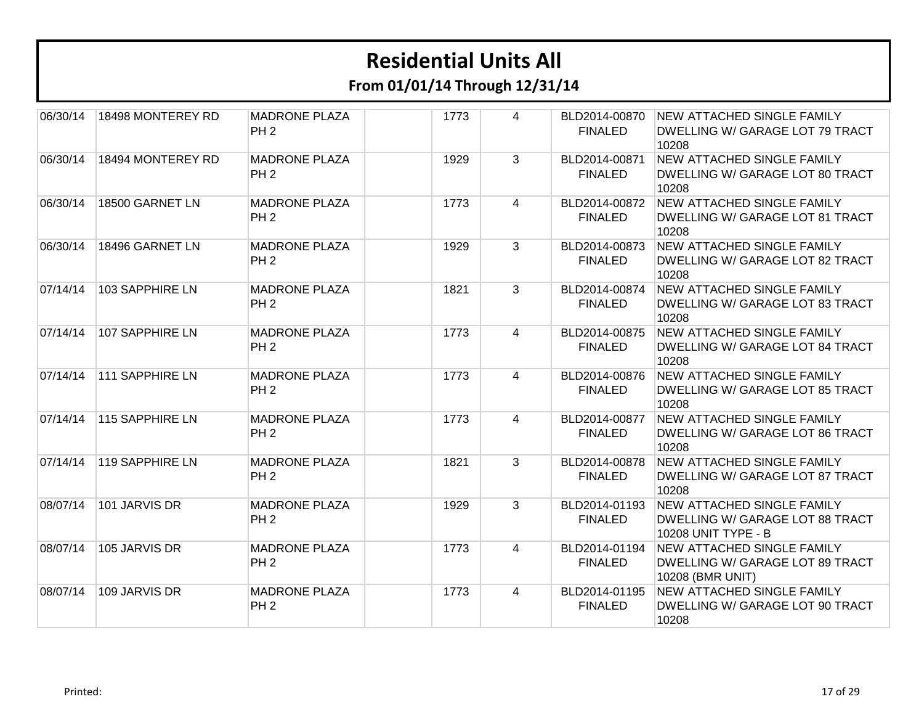| 06/30/14 | 18498 MONTEREY RD      | <b>MADRONE PLAZA</b><br>PH <sub>2</sub> | 1773 | 4            | BLD2014-00870<br><b>FINALED</b> | <b>NEW ATTACHED SINGLE FAMILY</b><br>DWELLING W/ GARAGE LOT 79 TRACT<br>10208               |
|----------|------------------------|-----------------------------------------|------|--------------|---------------------------------|---------------------------------------------------------------------------------------------|
| 06/30/14 | 18494 MONTEREY RD      | <b>MADRONE PLAZA</b><br>PH <sub>2</sub> | 1929 | 3            | BLD2014-00871<br><b>FINALED</b> | <b>NEW ATTACHED SINGLE FAMILY</b><br>DWELLING W/ GARAGE LOT 80 TRACT<br>10208               |
| 06/30/14 | 18500 GARNET LN        | <b>MADRONE PLAZA</b><br>PH <sub>2</sub> | 1773 | 4            | BLD2014-00872<br><b>FINALED</b> | NEW ATTACHED SINGLE FAMILY<br>DWELLING W/ GARAGE LOT 81 TRACT<br>10208                      |
| 06/30/14 | 18496 GARNET LN        | <b>MADRONE PLAZA</b><br>PH <sub>2</sub> | 1929 | $\mathbf{3}$ | BLD2014-00873<br><b>FINALED</b> | <b>NEW ATTACHED SINGLE FAMILY</b><br>DWELLING W/ GARAGE LOT 82 TRACT<br>10208               |
| 07/14/14 | 103 SAPPHIRE LN        | <b>MADRONE PLAZA</b><br>PH <sub>2</sub> | 1821 | 3            | BLD2014-00874<br><b>FINALED</b> | <b>NEW ATTACHED SINGLE FAMILY</b><br>DWELLING W/ GARAGE LOT 83 TRACT<br>10208               |
| 07/14/14 | <b>107 SAPPHIRE LN</b> | <b>MADRONE PLAZA</b><br>PH <sub>2</sub> | 1773 | 4            | BLD2014-00875<br><b>FINALED</b> | <b>NEW ATTACHED SINGLE FAMILY</b><br>DWELLING W/ GARAGE LOT 84 TRACT<br>10208               |
| 07/14/14 | <b>111 SAPPHIRE LN</b> | <b>MADRONE PLAZA</b><br>PH <sub>2</sub> | 1773 | 4            | BLD2014-00876<br><b>FINALED</b> | <b>NEW ATTACHED SINGLE FAMILY</b><br>DWELLING W/ GARAGE LOT 85 TRACT<br>10208               |
| 07/14/14 | 115 SAPPHIRE LN        | <b>MADRONE PLAZA</b><br>PH <sub>2</sub> | 1773 | 4            | BLD2014-00877<br><b>FINALED</b> | <b>NEW ATTACHED SINGLE FAMILY</b><br>DWELLING W/ GARAGE LOT 86 TRACT<br>10208               |
| 07/14/14 | 119 SAPPHIRE LN        | <b>MADRONE PLAZA</b><br>PH <sub>2</sub> | 1821 | 3            | BLD2014-00878<br><b>FINALED</b> | <b>NEW ATTACHED SINGLE FAMILY</b><br>DWELLING W/ GARAGE LOT 87 TRACT<br>10208               |
| 08/07/14 | 101 JARVIS DR          | <b>MADRONE PLAZA</b><br>PH <sub>2</sub> | 1929 | 3            | BLD2014-01193<br><b>FINALED</b> | <b>NEW ATTACHED SINGLE FAMILY</b><br>DWELLING W/ GARAGE LOT 88 TRACT<br>10208 UNIT TYPE - B |
| 08/07/14 | 105 JARVIS DR          | <b>MADRONE PLAZA</b><br>PH <sub>2</sub> | 1773 | 4            | BLD2014-01194<br><b>FINALED</b> | <b>NEW ATTACHED SINGLE FAMILY</b><br>DWELLING W/ GARAGE LOT 89 TRACT<br>10208 (BMR UNIT)    |
| 08/07/14 | 109 JARVIS DR          | <b>MADRONE PLAZA</b><br>PH <sub>2</sub> | 1773 | 4            | BLD2014-01195<br><b>FINALED</b> | <b>NEW ATTACHED SINGLE FAMILY</b><br>DWELLING W/ GARAGE LOT 90 TRACT<br>10208               |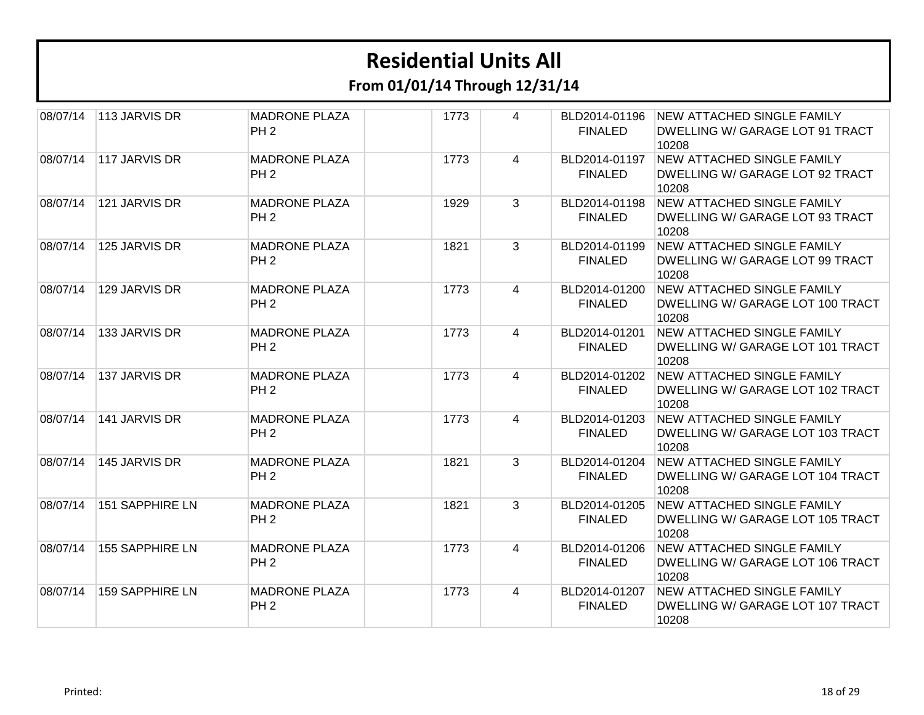| 08/07/14 | 113 JARVIS DR          | <b>MADRONE PLAZA</b><br>PH <sub>2</sub> | 1773 | 4              | BLD2014-01196<br><b>FINALED</b> | <b>NEW ATTACHED SINGLE FAMILY</b><br>DWELLING W/ GARAGE LOT 91 TRACT<br>10208  |
|----------|------------------------|-----------------------------------------|------|----------------|---------------------------------|--------------------------------------------------------------------------------|
| 08/07/14 | 117 JARVIS DR          | <b>MADRONE PLAZA</b><br>PH <sub>2</sub> | 1773 | 4              | BLD2014-01197<br><b>FINALED</b> | <b>NEW ATTACHED SINGLE FAMILY</b><br>DWELLING W/ GARAGE LOT 92 TRACT<br>10208  |
| 08/07/14 | 121 JARVIS DR          | <b>MADRONE PLAZA</b><br>PH <sub>2</sub> | 1929 | 3              | BLD2014-01198<br><b>FINALED</b> | NEW ATTACHED SINGLE FAMILY<br>DWELLING W/ GARAGE LOT 93 TRACT<br>10208         |
| 08/07/14 | 125 JARVIS DR          | <b>MADRONE PLAZA</b><br>PH <sub>2</sub> | 1821 | 3              | BLD2014-01199<br><b>FINALED</b> | <b>NEW ATTACHED SINGLE FAMILY</b><br>DWELLING W/ GARAGE LOT 99 TRACT<br>10208  |
| 08/07/14 | 129 JARVIS DR          | <b>MADRONE PLAZA</b><br>PH <sub>2</sub> | 1773 | 4              | BLD2014-01200<br><b>FINALED</b> | <b>NEW ATTACHED SINGLE FAMILY</b><br>DWELLING W/ GARAGE LOT 100 TRACT<br>10208 |
| 08/07/14 | 133 JARVIS DR          | <b>MADRONE PLAZA</b><br>PH <sub>2</sub> | 1773 | $\overline{4}$ | BLD2014-01201<br><b>FINALED</b> | <b>NEW ATTACHED SINGLE FAMILY</b><br>DWELLING W/ GARAGE LOT 101 TRACT<br>10208 |
| 08/07/14 | 137 JARVIS DR          | <b>MADRONE PLAZA</b><br>PH <sub>2</sub> | 1773 | $\overline{4}$ | BLD2014-01202<br><b>FINALED</b> | <b>NEW ATTACHED SINGLE FAMILY</b><br>DWELLING W/ GARAGE LOT 102 TRACT<br>10208 |
| 08/07/14 | 141 JARVIS DR          | <b>MADRONE PLAZA</b><br>PH <sub>2</sub> | 1773 | 4              | BLD2014-01203<br><b>FINALED</b> | <b>NEW ATTACHED SINGLE FAMILY</b><br>DWELLING W/ GARAGE LOT 103 TRACT<br>10208 |
| 08/07/14 | 145 JARVIS DR          | <b>MADRONE PLAZA</b><br>PH <sub>2</sub> | 1821 | 3              | BLD2014-01204<br><b>FINALED</b> | <b>NEW ATTACHED SINGLE FAMILY</b><br>DWELLING W/ GARAGE LOT 104 TRACT<br>10208 |
| 08/07/14 | <b>151 SAPPHIRE LN</b> | <b>MADRONE PLAZA</b><br>PH <sub>2</sub> | 1821 | 3              | BLD2014-01205<br><b>FINALED</b> | <b>NEW ATTACHED SINGLE FAMILY</b><br>DWELLING W/ GARAGE LOT 105 TRACT<br>10208 |
| 08/07/14 | <b>155 SAPPHIRE LN</b> | <b>MADRONE PLAZA</b><br>PH <sub>2</sub> | 1773 | 4              | BLD2014-01206<br><b>FINALED</b> | <b>NEW ATTACHED SINGLE FAMILY</b><br>DWELLING W/ GARAGE LOT 106 TRACT<br>10208 |
| 08/07/14 | <b>159 SAPPHIRE LN</b> | <b>MADRONE PLAZA</b><br>PH <sub>2</sub> | 1773 | 4              | BLD2014-01207<br><b>FINALED</b> | <b>NEW ATTACHED SINGLE FAMILY</b><br>DWELLING W/ GARAGE LOT 107 TRACT<br>10208 |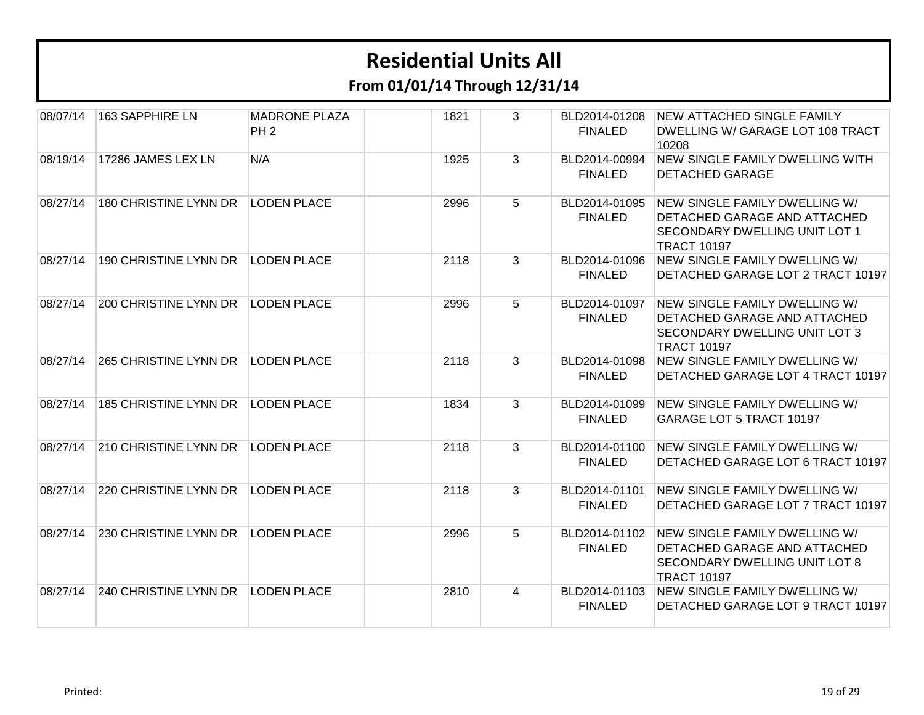| 08/07/14 | 163 SAPPHIRE LN              | <b>MADRONE PLAZA</b><br>PH <sub>2</sub> | 1821 | 3            | BLD2014-01208<br><b>FINALED</b> | <b>NEW ATTACHED SINGLE FAMILY</b><br>DWELLING W/ GARAGE LOT 108 TRACT<br>10208                                                     |
|----------|------------------------------|-----------------------------------------|------|--------------|---------------------------------|------------------------------------------------------------------------------------------------------------------------------------|
| 08/19/14 | 17286 JAMES LEX LN           | N/A                                     | 1925 | 3            | BLD2014-00994<br><b>FINALED</b> | NEW SINGLE FAMILY DWELLING WITH<br><b>DETACHED GARAGE</b>                                                                          |
| 08/27/14 | <b>180 CHRISTINE LYNN DR</b> | <b>LODEN PLACE</b>                      | 2996 | 5            | BLD2014-01095<br><b>FINALED</b> | NEW SINGLE FAMILY DWELLING W/<br><b>DETACHED GARAGE AND ATTACHED</b><br><b>SECONDARY DWELLING UNIT LOT 1</b><br><b>TRACT 10197</b> |
| 08/27/14 | 190 CHRISTINE LYNN DR        | <b>LODEN PLACE</b>                      | 2118 | 3            | BLD2014-01096<br><b>FINALED</b> | NEW SINGLE FAMILY DWELLING W/<br>DETACHED GARAGE LOT 2 TRACT 10197                                                                 |
| 08/27/14 | <b>200 CHRISTINE LYNN DR</b> | <b>LODEN PLACE</b>                      | 2996 | 5            | BLD2014-01097<br><b>FINALED</b> | NEW SINGLE FAMILY DWELLING W/<br>DETACHED GARAGE AND ATTACHED<br><b>SECONDARY DWELLING UNIT LOT 3</b><br><b>TRACT 10197</b>        |
| 08/27/14 | 265 CHRISTINE LYNN DR        | <b>LODEN PLACE</b>                      | 2118 | $\mathbf{3}$ | BLD2014-01098<br><b>FINALED</b> | NEW SINGLE FAMILY DWELLING W/<br>DETACHED GARAGE LOT 4 TRACT 10197                                                                 |
| 08/27/14 | 185 CHRISTINE LYNN DR        | <b>LODEN PLACE</b>                      | 1834 | 3            | BLD2014-01099<br><b>FINALED</b> | NEW SINGLE FAMILY DWELLING W/<br><b>GARAGE LOT 5 TRACT 10197</b>                                                                   |
| 08/27/14 | 210 CHRISTINE LYNN DR        | <b>LODEN PLACE</b>                      | 2118 | 3            | BLD2014-01100<br><b>FINALED</b> | NEW SINGLE FAMILY DWELLING W/<br>DETACHED GARAGE LOT 6 TRACT 10197                                                                 |
| 08/27/14 | 220 CHRISTINE LYNN DR        | <b>LODEN PLACE</b>                      | 2118 | $\mathbf{3}$ | BLD2014-01101<br><b>FINALED</b> | NEW SINGLE FAMILY DWELLING W/<br>DETACHED GARAGE LOT 7 TRACT 10197                                                                 |
| 08/27/14 | 230 CHRISTINE LYNN DR        | <b>LODEN PLACE</b>                      | 2996 | 5            | BLD2014-01102<br><b>FINALED</b> | NEW SINGLE FAMILY DWELLING W/<br>DETACHED GARAGE AND ATTACHED<br><b>SECONDARY DWELLING UNIT LOT 8</b><br><b>TRACT 10197</b>        |
| 08/27/14 | 240 CHRISTINE LYNN DR        | <b>LODEN PLACE</b>                      | 2810 | 4            | BLD2014-01103<br><b>FINALED</b> | NEW SINGLE FAMILY DWELLING W/<br>DETACHED GARAGE LOT 9 TRACT 10197                                                                 |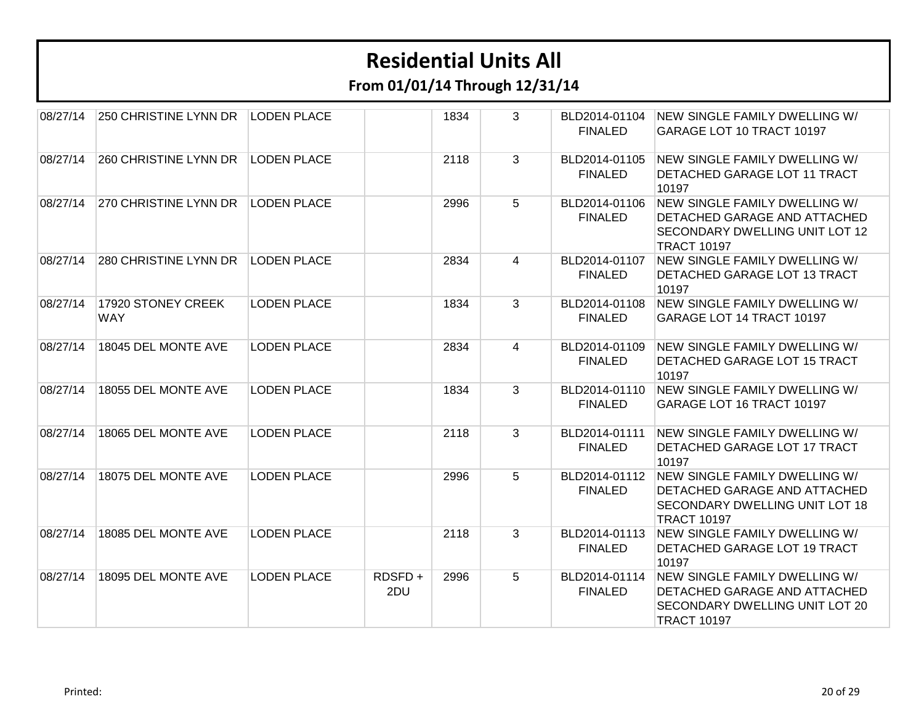**From 01/01/14 Through 12/31/14**

| 08/27/14 | 250 CHRISTINE LYNN DR            | <b>LODEN PLACE</b> |               | 1834 | 3             | BLD2014-01104<br><b>FINALED</b> | NEW SINGLE FAMILY DWELLING W/<br>GARAGE LOT 10 TRACT 10197                                                                          |
|----------|----------------------------------|--------------------|---------------|------|---------------|---------------------------------|-------------------------------------------------------------------------------------------------------------------------------------|
| 08/27/14 | 260 CHRISTINE LYNN DR            | <b>LODEN PLACE</b> |               | 2118 | 3             | BLD2014-01105<br><b>FINALED</b> | NEW SINGLE FAMILY DWELLING W/<br>DETACHED GARAGE LOT 11 TRACT<br>10197                                                              |
| 08/27/14 | 270 CHRISTINE LYNN DR            | <b>LODEN PLACE</b> |               | 2996 | 5             | BLD2014-01106<br><b>FINALED</b> | NEW SINGLE FAMILY DWELLING W/<br>DETACHED GARAGE AND ATTACHED<br><b>SECONDARY DWELLING UNIT LOT 12</b><br><b>TRACT 10197</b>        |
| 08/27/14 | 280 CHRISTINE LYNN DR            | <b>LODEN PLACE</b> |               | 2834 | 4             | BLD2014-01107<br><b>FINALED</b> | NEW SINGLE FAMILY DWELLING W/<br>DETACHED GARAGE LOT 13 TRACT<br>10197                                                              |
| 08/27/14 | 17920 STONEY CREEK<br><b>WAY</b> | <b>LODEN PLACE</b> |               | 1834 | 3             | BLD2014-01108<br><b>FINALED</b> | NEW SINGLE FAMILY DWELLING W/<br>GARAGE LOT 14 TRACT 10197                                                                          |
| 08/27/14 | 18045 DEL MONTE AVE              | <b>LODEN PLACE</b> |               | 2834 | 4             | BLD2014-01109<br><b>FINALED</b> | NEW SINGLE FAMILY DWELLING W/<br>DETACHED GARAGE LOT 15 TRACT<br>10197                                                              |
| 08/27/14 | 18055 DEL MONTE AVE              | <b>LODEN PLACE</b> |               | 1834 | 3             | BLD2014-01110<br><b>FINALED</b> | NEW SINGLE FAMILY DWELLING W/<br>GARAGE LOT 16 TRACT 10197                                                                          |
| 08/27/14 | 18065 DEL MONTE AVE              | <b>LODEN PLACE</b> |               | 2118 | $\mathcal{S}$ | BLD2014-01111<br><b>FINALED</b> | NEW SINGLE FAMILY DWELLING W/<br>DETACHED GARAGE LOT 17 TRACT<br>10197                                                              |
| 08/27/14 | 18075 DEL MONTE AVE              | <b>LODEN PLACE</b> |               | 2996 | 5             | BLD2014-01112<br><b>FINALED</b> | NEW SINGLE FAMILY DWELLING W/<br>DETACHED GARAGE AND ATTACHED<br><b>SECONDARY DWELLING UNIT LOT 18</b><br><b>TRACT 10197</b>        |
| 08/27/14 | 18085 DEL MONTE AVE              | <b>LODEN PLACE</b> |               | 2118 | 3             | BLD2014-01113<br><b>FINALED</b> | NEW SINGLE FAMILY DWELLING W/<br>DETACHED GARAGE LOT 19 TRACT<br>10197                                                              |
| 08/27/14 | 18095 DEL MONTE AVE              | <b>LODEN PLACE</b> | RDSFD+<br>2DU | 2996 | 5             | BLD2014-01114<br><b>FINALED</b> | NEW SINGLE FAMILY DWELLING W/<br><b>DETACHED GARAGE AND ATTACHED</b><br><b>SECONDARY DWELLING UNIT LOT 20</b><br><b>TRACT 10197</b> |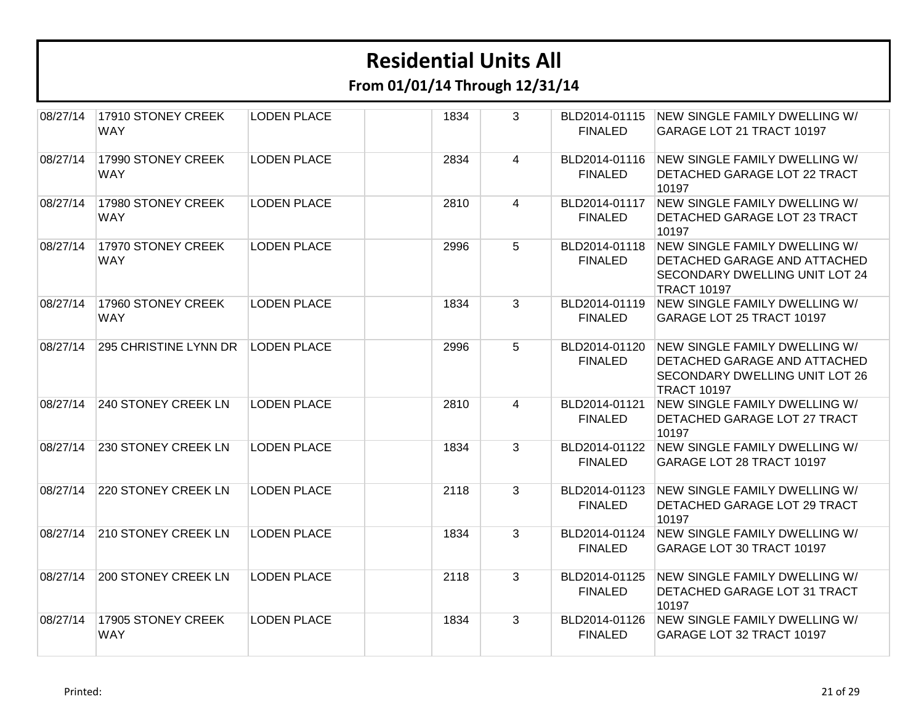| 08/27/14 | 17910 STONEY CREEK<br><b>WAY</b> | <b>LODEN PLACE</b> | 1834 | 3              | <b>FINALED</b>                  | BLD2014-01115 NEW SINGLE FAMILY DWELLING W/<br>GARAGE LOT 21 TRACT 10197                                                     |
|----------|----------------------------------|--------------------|------|----------------|---------------------------------|------------------------------------------------------------------------------------------------------------------------------|
| 08/27/14 | 17990 STONEY CREEK<br><b>WAY</b> | <b>LODEN PLACE</b> | 2834 | $\overline{4}$ | BLD2014-01116<br><b>FINALED</b> | NEW SINGLE FAMILY DWELLING W/<br>DETACHED GARAGE LOT 22 TRACT<br>10197                                                       |
| 08/27/14 | 17980 STONEY CREEK<br><b>WAY</b> | <b>LODEN PLACE</b> | 2810 | $\overline{4}$ | BLD2014-01117<br><b>FINALED</b> | NEW SINGLE FAMILY DWELLING W/<br><b>DETACHED GARAGE LOT 23 TRACT</b><br>10197                                                |
| 08/27/14 | 17970 STONEY CREEK<br><b>WAY</b> | <b>LODEN PLACE</b> | 2996 | 5              | BLD2014-01118<br><b>FINALED</b> | NEW SINGLE FAMILY DWELLING W/<br>DETACHED GARAGE AND ATTACHED<br><b>SECONDARY DWELLING UNIT LOT 24</b><br><b>TRACT 10197</b> |
| 08/27/14 | 17960 STONEY CREEK<br><b>WAY</b> | <b>LODEN PLACE</b> | 1834 | $\overline{3}$ | BLD2014-01119<br><b>FINALED</b> | NEW SINGLE FAMILY DWELLING W/<br>GARAGE LOT 25 TRACT 10197                                                                   |
| 08/27/14 | 295 CHRISTINE LYNN DR            | <b>LODEN PLACE</b> | 2996 | 5 <sup>5</sup> | BLD2014-01120<br><b>FINALED</b> | NEW SINGLE FAMILY DWELLING W/<br>DETACHED GARAGE AND ATTACHED<br><b>SECONDARY DWELLING UNIT LOT 26</b><br><b>TRACT 10197</b> |
| 08/27/14 | 240 STONEY CREEK LN              | <b>LODEN PLACE</b> | 2810 | 4              | BLD2014-01121<br><b>FINALED</b> | NEW SINGLE FAMILY DWELLING W/<br>DETACHED GARAGE LOT 27 TRACT<br>10197                                                       |
| 08/27/14 | 230 STONEY CREEK LN              | <b>LODEN PLACE</b> | 1834 | 3              | BLD2014-01122<br><b>FINALED</b> | NEW SINGLE FAMILY DWELLING W/<br>GARAGE LOT 28 TRACT 10197                                                                   |
| 08/27/14 | <b>220 STONEY CREEK LN</b>       | <b>LODEN PLACE</b> | 2118 | 3              | BLD2014-01123<br><b>FINALED</b> | NEW SINGLE FAMILY DWELLING W/<br>DETACHED GARAGE LOT 29 TRACT<br>10197                                                       |
| 08/27/14 | <b>210 STONEY CREEK LN</b>       | <b>LODEN PLACE</b> | 1834 | 3              | BLD2014-01124<br><b>FINALED</b> | NEW SINGLE FAMILY DWELLING W/<br>GARAGE LOT 30 TRACT 10197                                                                   |
| 08/27/14 | <b>200 STONEY CREEK LN</b>       | <b>LODEN PLACE</b> | 2118 | 3              | BLD2014-01125<br><b>FINALED</b> | NEW SINGLE FAMILY DWELLING W/<br>DETACHED GARAGE LOT 31 TRACT<br>10197                                                       |
| 08/27/14 | 17905 STONEY CREEK<br><b>WAY</b> | <b>LODEN PLACE</b> | 1834 | $\mathbf{3}$   | BLD2014-01126<br><b>FINALED</b> | NEW SINGLE FAMILY DWELLING W/<br>GARAGE LOT 32 TRACT 10197                                                                   |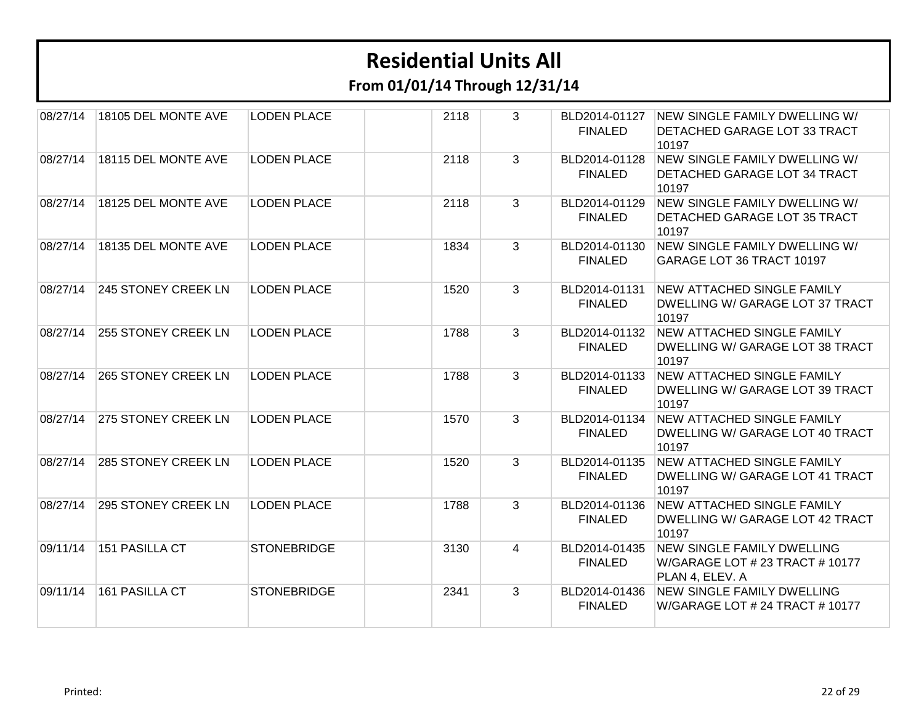**From 01/01/14 Through 12/31/14**

| 08/27/14 | 18105 DEL MONTE AVE | <b>LODEN PLACE</b> | 2118 | 3 | BLD2014-01127<br><b>FINALED</b> | NEW SINGLE FAMILY DWELLING W/<br>DETACHED GARAGE LOT 33 TRACT<br>10197                  |
|----------|---------------------|--------------------|------|---|---------------------------------|-----------------------------------------------------------------------------------------|
| 08/27/14 | 18115 DEL MONTE AVE | <b>LODEN PLACE</b> | 2118 | 3 | BLD2014-01128<br><b>FINALED</b> | NEW SINGLE FAMILY DWELLING W/<br>DETACHED GARAGE LOT 34 TRACT<br>10197                  |
| 08/27/14 | 18125 DEL MONTE AVE | <b>LODEN PLACE</b> | 2118 | 3 | BLD2014-01129<br><b>FINALED</b> | NEW SINGLE FAMILY DWELLING W/<br>DETACHED GARAGE LOT 35 TRACT<br>10197                  |
| 08/27/14 | 18135 DEL MONTE AVE | <b>LODEN PLACE</b> | 1834 | 3 | BLD2014-01130<br><b>FINALED</b> | NEW SINGLE FAMILY DWELLING W/<br>GARAGE LOT 36 TRACT 10197                              |
| 08/27/14 | 245 STONEY CREEK LN | <b>LODEN PLACE</b> | 1520 | 3 | BLD2014-01131<br><b>FINALED</b> | <b>NEW ATTACHED SINGLE FAMILY</b><br>DWELLING W/ GARAGE LOT 37 TRACT<br>10197           |
| 08/27/14 | 255 STONEY CREEK LN | <b>LODEN PLACE</b> | 1788 | 3 | BLD2014-01132<br><b>FINALED</b> | <b>NEW ATTACHED SINGLE FAMILY</b><br>DWELLING W/ GARAGE LOT 38 TRACT<br>10197           |
| 08/27/14 | 265 STONEY CREEK LN | <b>LODEN PLACE</b> | 1788 | 3 | BLD2014-01133<br><b>FINALED</b> | NEW ATTACHED SINGLE FAMILY<br>DWELLING W/ GARAGE LOT 39 TRACT<br>10197                  |
| 08/27/14 | 275 STONEY CREEK LN | <b>LODEN PLACE</b> | 1570 | 3 | BLD2014-01134<br><b>FINALED</b> | <b>NEW ATTACHED SINGLE FAMILY</b><br>DWELLING W/ GARAGE LOT 40 TRACT<br>10197           |
| 08/27/14 | 285 STONEY CREEK LN | <b>LODEN PLACE</b> | 1520 | 3 | BLD2014-01135<br><b>FINALED</b> | <b>NEW ATTACHED SINGLE FAMILY</b><br>DWELLING W/ GARAGE LOT 41 TRACT<br>10197           |
| 08/27/14 | 295 STONEY CREEK LN | <b>LODEN PLACE</b> | 1788 | 3 | BLD2014-01136<br><b>FINALED</b> | <b>NEW ATTACHED SINGLE FAMILY</b><br>DWELLING W/ GARAGE LOT 42 TRACT<br>10197           |
| 09/11/14 | 151 PASILLA CT      | <b>STONEBRIDGE</b> | 3130 | 4 | BLD2014-01435<br><b>FINALED</b> | <b>NEW SINGLE FAMILY DWELLING</b><br>W/GARAGE LOT # 23 TRACT # 10177<br>PLAN 4, ELEV. A |
| 09/11/14 | 161 PASILLA CT      | <b>STONEBRIDGE</b> | 2341 | 3 | BLD2014-01436<br><b>FINALED</b> | <b>NEW SINGLE FAMILY DWELLING</b><br>W/GARAGE LOT # 24 TRACT # 10177                    |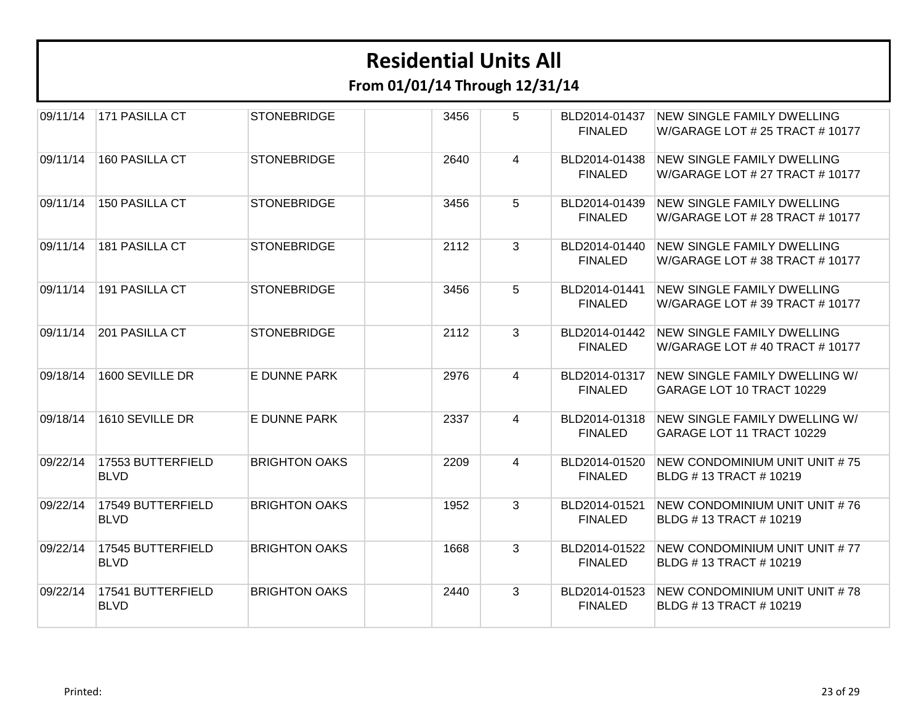| 09/11/14 | 171 PASILLA CT                   | <b>STONEBRIDGE</b>   | 3456 | 5              | BLD2014-01437<br><b>FINALED</b> | <b>NEW SINGLE FAMILY DWELLING</b><br>W/GARAGE LOT # 25 TRACT # 10177 |
|----------|----------------------------------|----------------------|------|----------------|---------------------------------|----------------------------------------------------------------------|
| 09/11/14 | 160 PASILLA CT                   | <b>STONEBRIDGE</b>   | 2640 | 4              | BLD2014-01438<br><b>FINALED</b> | NEW SINGLE FAMILY DWELLING<br>W/GARAGE LOT # 27 TRACT # 10177        |
| 09/11/14 | <b>150 PASILLA CT</b>            | <b>STONEBRIDGE</b>   | 3456 | 5              | BLD2014-01439<br><b>FINALED</b> | <b>NEW SINGLE FAMILY DWELLING</b><br>W/GARAGE LOT # 28 TRACT # 10177 |
| 09/11/14 | <b>181 PASILLA CT</b>            | <b>STONEBRIDGE</b>   | 2112 | 3              | BLD2014-01440<br><b>FINALED</b> | <b>NEW SINGLE FAMILY DWELLING</b><br>W/GARAGE LOT #38 TRACT #10177   |
| 09/11/14 | 191 PASILLA CT                   | <b>STONEBRIDGE</b>   | 3456 | 5              | BLD2014-01441<br><b>FINALED</b> | <b>NEW SINGLE FAMILY DWELLING</b><br>W/GARAGE LOT # 39 TRACT # 10177 |
| 09/11/14 | 201 PASILLA CT                   | <b>STONEBRIDGE</b>   | 2112 | $\mathbf{3}$   | BLD2014-01442<br><b>FINALED</b> | <b>NEW SINGLE FAMILY DWELLING</b><br>W/GARAGE LOT #40 TRACT #10177   |
| 09/18/14 | 1600 SEVILLE DR                  | E DUNNE PARK         | 2976 | $\overline{4}$ | BLD2014-01317<br><b>FINALED</b> | NEW SINGLE FAMILY DWELLING W/<br>GARAGE LOT 10 TRACT 10229           |
| 09/18/14 | 1610 SEVILLE DR                  | E DUNNE PARK         | 2337 | 4              | BLD2014-01318<br><b>FINALED</b> | NEW SINGLE FAMILY DWELLING W/<br>GARAGE LOT 11 TRACT 10229           |
| 09/22/14 | 17553 BUTTERFIELD<br><b>BLVD</b> | <b>BRIGHTON OAKS</b> | 2209 | $\overline{4}$ | BLD2014-01520<br><b>FINALED</b> | NEW CONDOMINIUM UNIT UNIT #75<br>BLDG # 13 TRACT # 10219             |
| 09/22/14 | 17549 BUTTERFIELD<br><b>BLVD</b> | <b>BRIGHTON OAKS</b> | 1952 | 3              | BLD2014-01521<br><b>FINALED</b> | NEW CONDOMINIUM UNIT UNIT #76<br>BLDG #13 TRACT #10219               |
| 09/22/14 | 17545 BUTTERFIELD<br><b>BLVD</b> | <b>BRIGHTON OAKS</b> | 1668 | 3              | BLD2014-01522<br><b>FINALED</b> | NEW CONDOMINIUM UNIT UNIT #77<br>BLDG # 13 TRACT # 10219             |
| 09/22/14 | 17541 BUTTERFIELD<br><b>BLVD</b> | <b>BRIGHTON OAKS</b> | 2440 | 3              | BLD2014-01523<br><b>FINALED</b> | NEW CONDOMINIUM UNIT UNIT #78<br>BLDG # 13 TRACT # 10219             |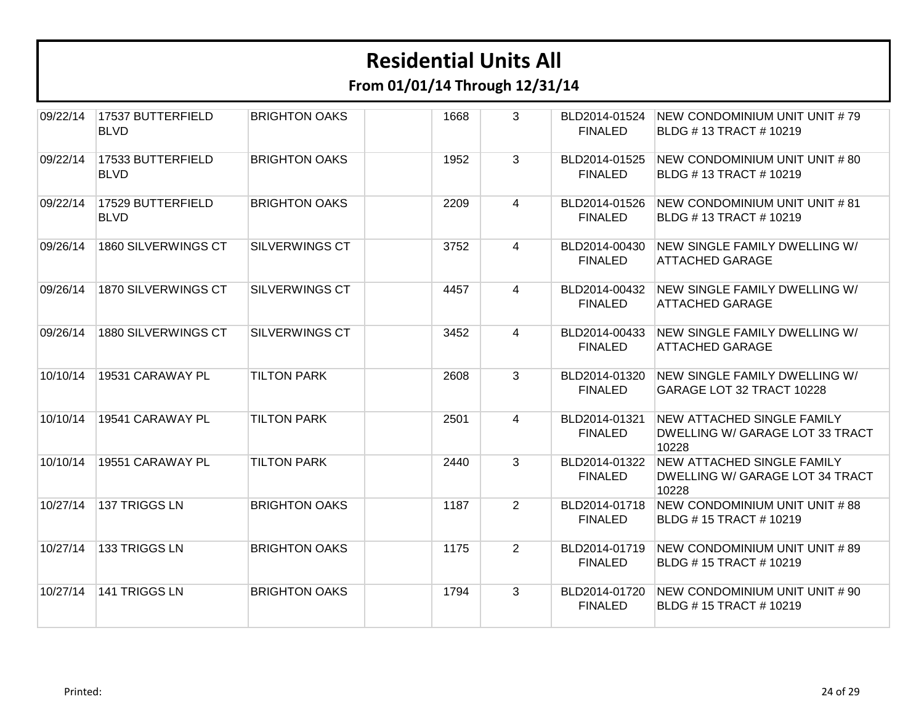| 09/22/14 | 17537 BUTTERFIELD<br><b>BLVD</b> | <b>BRIGHTON OAKS</b>  | 1668 | 3              | BLD2014-01524<br><b>FINALED</b> | NEW CONDOMINIUM UNIT UNIT #79<br>BLDG #13 TRACT #10219                               |
|----------|----------------------------------|-----------------------|------|----------------|---------------------------------|--------------------------------------------------------------------------------------|
| 09/22/14 | 17533 BUTTERFIELD<br><b>BLVD</b> | <b>BRIGHTON OAKS</b>  | 1952 | 3              | BLD2014-01525<br><b>FINALED</b> | NEW CONDOMINIUM UNIT UNIT # 80<br>BLDG # 13 TRACT # 10219                            |
| 09/22/14 | 17529 BUTTERFIELD<br><b>BLVD</b> | <b>BRIGHTON OAKS</b>  | 2209 | $\overline{4}$ | BLD2014-01526<br><b>FINALED</b> | NEW CONDOMINIUM UNIT UNIT # 81<br>BLDG #13 TRACT #10219                              |
| 09/26/14 | 1860 SILVERWINGS CT              | <b>SILVERWINGS CT</b> | 3752 | 4              | BLD2014-00430<br><b>FINALED</b> | NEW SINGLE FAMILY DWELLING W/<br><b>ATTACHED GARAGE</b>                              |
| 09/26/14 | 1870 SILVERWINGS CT              | <b>SILVERWINGS CT</b> | 4457 | $\overline{4}$ | BLD2014-00432<br><b>FINALED</b> | NEW SINGLE FAMILY DWELLING W/<br>ATTACHED GARAGE                                     |
| 09/26/14 | 1880 SILVERWINGS CT              | <b>SILVERWINGS CT</b> | 3452 | $\overline{4}$ | BLD2014-00433<br><b>FINALED</b> | NEW SINGLE FAMILY DWELLING W/<br><b>ATTACHED GARAGE</b>                              |
| 10/10/14 | 19531 CARAWAY PL                 | <b>TILTON PARK</b>    | 2608 | 3              | BLD2014-01320<br><b>FINALED</b> | NEW SINGLE FAMILY DWELLING W/<br>GARAGE LOT 32 TRACT 10228                           |
| 10/10/14 | 19541 CARAWAY PL                 | <b>TILTON PARK</b>    | 2501 | $\overline{4}$ | BLD2014-01321<br><b>FINALED</b> | NEW ATTACHED SINGLE FAMILY<br>DWELLING W/ GARAGE LOT 33 TRACT<br>10228               |
| 10/10/14 | 19551 CARAWAY PL                 | <b>TILTON PARK</b>    | 2440 | 3              | BLD2014-01322<br><b>FINALED</b> | <b>NEW ATTACHED SINGLE FAMILY</b><br><b>DWELLING W/ GARAGE LOT 34 TRACT</b><br>10228 |
| 10/27/14 | 137 TRIGGS LN                    | <b>BRIGHTON OAKS</b>  | 1187 | $\overline{2}$ | BLD2014-01718<br><b>FINALED</b> | NEW CONDOMINIUM UNIT UNIT #88<br>BLDG #15 TRACT #10219                               |
| 10/27/14 | 133 TRIGGS LN                    | <b>BRIGHTON OAKS</b>  | 1175 | $\overline{2}$ | BLD2014-01719<br><b>FINALED</b> | NEW CONDOMINIUM UNIT UNIT # 89<br>BLDG #15 TRACT #10219                              |
| 10/27/14 | 141 TRIGGS LN                    | <b>BRIGHTON OAKS</b>  | 1794 | 3              | BLD2014-01720<br><b>FINALED</b> | NEW CONDOMINIUM UNIT UNIT # 90<br>BLDG #15 TRACT #10219                              |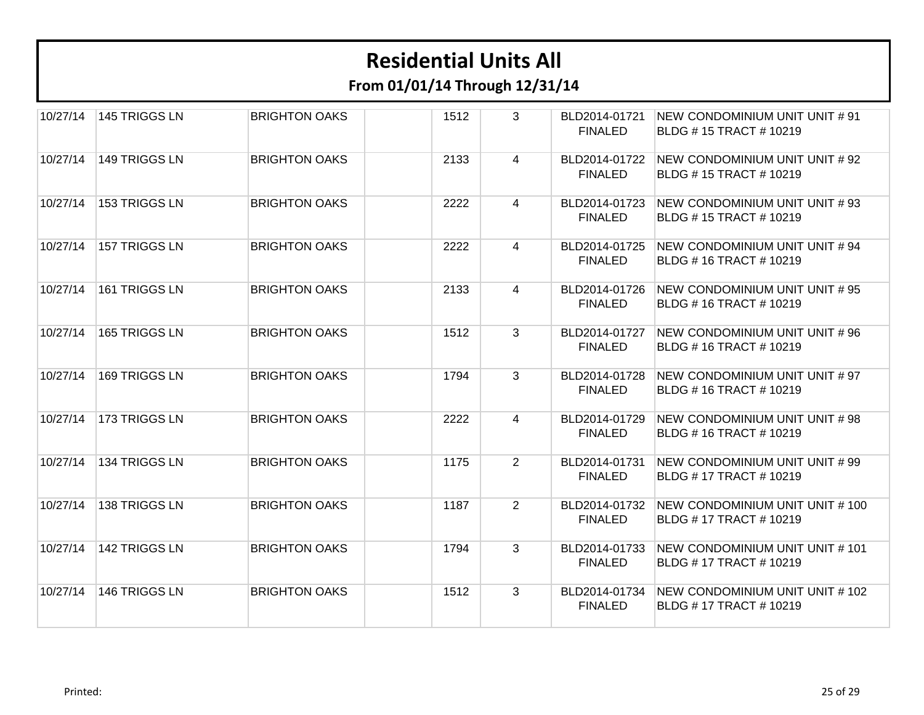**From 01/01/14 Through 12/31/14**

| 10/27/14 | 145 TRIGGS LN | <b>BRIGHTON OAKS</b> | 1512 | 3              | BLD2014-01721<br><b>FINALED</b> | NEW CONDOMINIUM UNIT UNIT # 91<br>BLDG #15 TRACT #10219         |
|----------|---------------|----------------------|------|----------------|---------------------------------|-----------------------------------------------------------------|
| 10/27/14 | 149 TRIGGS LN | <b>BRIGHTON OAKS</b> | 2133 | 4              | BLD2014-01722<br><b>FINALED</b> | NEW CONDOMINIUM UNIT UNIT # 92<br>BLDG #15 TRACT #10219         |
| 10/27/14 | 153 TRIGGS LN | <b>BRIGHTON OAKS</b> | 2222 | 4              | BLD2014-01723<br><b>FINALED</b> | NEW CONDOMINIUM UNIT UNIT #93<br>BLDG #15 TRACT #10219          |
| 10/27/14 | 157 TRIGGS LN | <b>BRIGHTON OAKS</b> | 2222 | 4              | BLD2014-01725<br><b>FINALED</b> | NEW CONDOMINIUM UNIT UNIT # 94<br>BLDG #16 TRACT #10219         |
| 10/27/14 | 161 TRIGGS LN | <b>BRIGHTON OAKS</b> | 2133 | 4              | BLD2014-01726<br><b>FINALED</b> | NEW CONDOMINIUM UNIT UNIT # 95<br>BLDG #16 TRACT #10219         |
| 10/27/14 | 165 TRIGGS LN | <b>BRIGHTON OAKS</b> | 1512 | 3              | BLD2014-01727<br><b>FINALED</b> | NEW CONDOMINIUM UNIT UNIT #96<br><b>BLDG #16 TRACT #10219</b>   |
| 10/27/14 | 169 TRIGGS LN | <b>BRIGHTON OAKS</b> | 1794 | 3              | BLD2014-01728<br><b>FINALED</b> | NEW CONDOMINIUM UNIT UNIT # 97<br>BLDG #16 TRACT #10219         |
| 10/27/14 | 173 TRIGGS LN | <b>BRIGHTON OAKS</b> | 2222 | 4              | BLD2014-01729<br><b>FINALED</b> | NEW CONDOMINIUM UNIT UNIT #98<br>BLDG #16 TRACT #10219          |
| 10/27/14 | 134 TRIGGS LN | <b>BRIGHTON OAKS</b> | 1175 | $\overline{2}$ | BLD2014-01731<br><b>FINALED</b> | NEW CONDOMINIUM UNIT UNIT #99<br>BLDG #17 TRACT #10219          |
| 10/27/14 | 138 TRIGGS LN | <b>BRIGHTON OAKS</b> | 1187 | $\overline{2}$ | BLD2014-01732<br><b>FINALED</b> | NEW CONDOMINIUM UNIT UNIT # 100<br>BLDG #17 TRACT #10219        |
| 10/27/14 | 142 TRIGGS LN | <b>BRIGHTON OAKS</b> | 1794 | 3              | BLD2014-01733<br><b>FINALED</b> | NEW CONDOMINIUM UNIT UNIT # 101<br><b>BLDG #17 TRACT #10219</b> |
| 10/27/14 | 146 TRIGGS LN | <b>BRIGHTON OAKS</b> | 1512 | 3              | BLD2014-01734<br><b>FINALED</b> | NEW CONDOMINIUM UNIT UNIT # 102<br><b>BLDG #17 TRACT #10219</b> |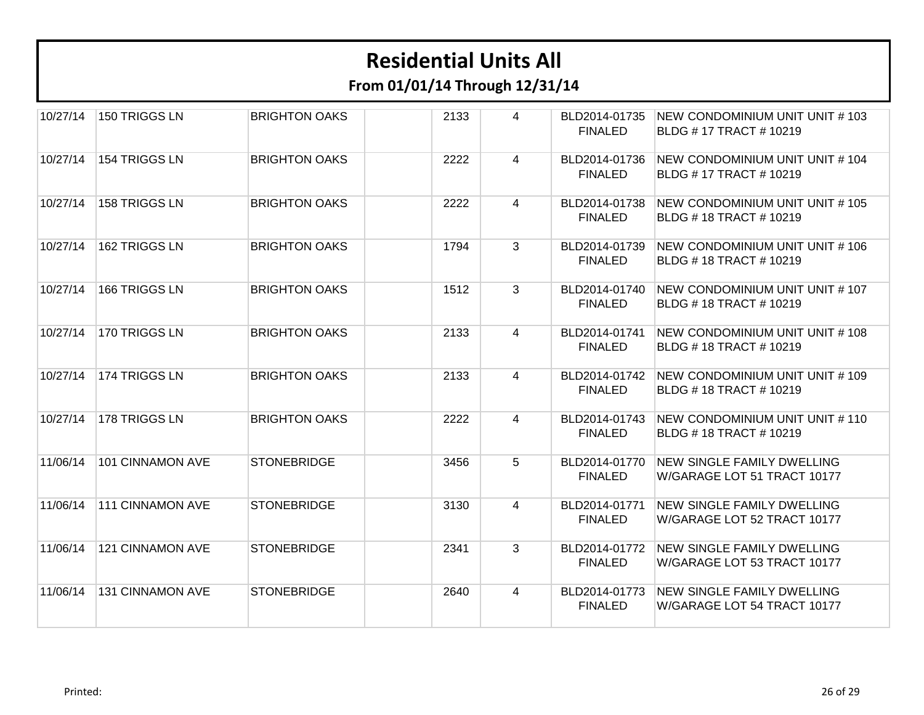| 10/27/14 | 150 TRIGGS LN           | <b>BRIGHTON OAKS</b> | 2133 | 4              | BLD2014-01735<br><b>FINALED</b> | NEW CONDOMINIUM UNIT UNIT # 103<br><b>BLDG #17 TRACT #10219</b>  |
|----------|-------------------------|----------------------|------|----------------|---------------------------------|------------------------------------------------------------------|
| 10/27/14 | 154 TRIGGS LN           | <b>BRIGHTON OAKS</b> | 2222 | 4              | BLD2014-01736<br><b>FINALED</b> | NEW CONDOMINIUM UNIT UNIT # 104<br>BLDG #17 TRACT #10219         |
| 10/27/14 | 158 TRIGGS LN           | <b>BRIGHTON OAKS</b> | 2222 | $\overline{4}$ | BLD2014-01738<br><b>FINALED</b> | NEW CONDOMINIUM UNIT UNIT # 105<br>BLDG #18 TRACT #10219         |
| 10/27/14 | 162 TRIGGS LN           | <b>BRIGHTON OAKS</b> | 1794 | 3              | BLD2014-01739<br><b>FINALED</b> | NEW CONDOMINIUM UNIT UNIT # 106<br>BLDG #18 TRACT #10219         |
| 10/27/14 | 166 TRIGGS LN           | <b>BRIGHTON OAKS</b> | 1512 | 3              | BLD2014-01740<br><b>FINALED</b> | NEW CONDOMINIUM UNIT UNIT # 107<br>BLDG #18 TRACT #10219         |
| 10/27/14 | 170 TRIGGS LN           | <b>BRIGHTON OAKS</b> | 2133 | $\overline{4}$ | BLD2014-01741<br><b>FINALED</b> | NEW CONDOMINIUM UNIT UNIT # 108<br>BLDG #18 TRACT #10219         |
| 10/27/14 | 174 TRIGGS LN           | <b>BRIGHTON OAKS</b> | 2133 | 4              | BLD2014-01742<br><b>FINALED</b> | NEW CONDOMINIUM UNIT UNIT # 109<br><b>BLDG #18 TRACT #10219</b>  |
| 10/27/14 | 178 TRIGGS LN           | <b>BRIGHTON OAKS</b> | 2222 | $\overline{4}$ | BLD2014-01743<br><b>FINALED</b> | NEW CONDOMINIUM UNIT UNIT # 110<br>BLDG #18 TRACT #10219         |
| 11/06/14 | 101 CINNAMON AVE        | <b>STONEBRIDGE</b>   | 3456 | 5              | BLD2014-01770<br><b>FINALED</b> | <b>NEW SINGLE FAMILY DWELLING</b><br>W/GARAGE LOT 51 TRACT 10177 |
| 11/06/14 | <b>111 CINNAMON AVE</b> | <b>STONEBRIDGE</b>   | 3130 | 4              | BLD2014-01771<br><b>FINALED</b> | <b>NEW SINGLE FAMILY DWELLING</b><br>W/GARAGE LOT 52 TRACT 10177 |
| 11/06/14 | 121 CINNAMON AVE        | <b>STONEBRIDGE</b>   | 2341 | 3              | BLD2014-01772<br><b>FINALED</b> | <b>NEW SINGLE FAMILY DWELLING</b><br>W/GARAGE LOT 53 TRACT 10177 |
| 11/06/14 | <b>131 CINNAMON AVE</b> | <b>STONEBRIDGE</b>   | 2640 | 4              | BLD2014-01773<br><b>FINALED</b> | <b>NEW SINGLE FAMILY DWELLING</b><br>W/GARAGE LOT 54 TRACT 10177 |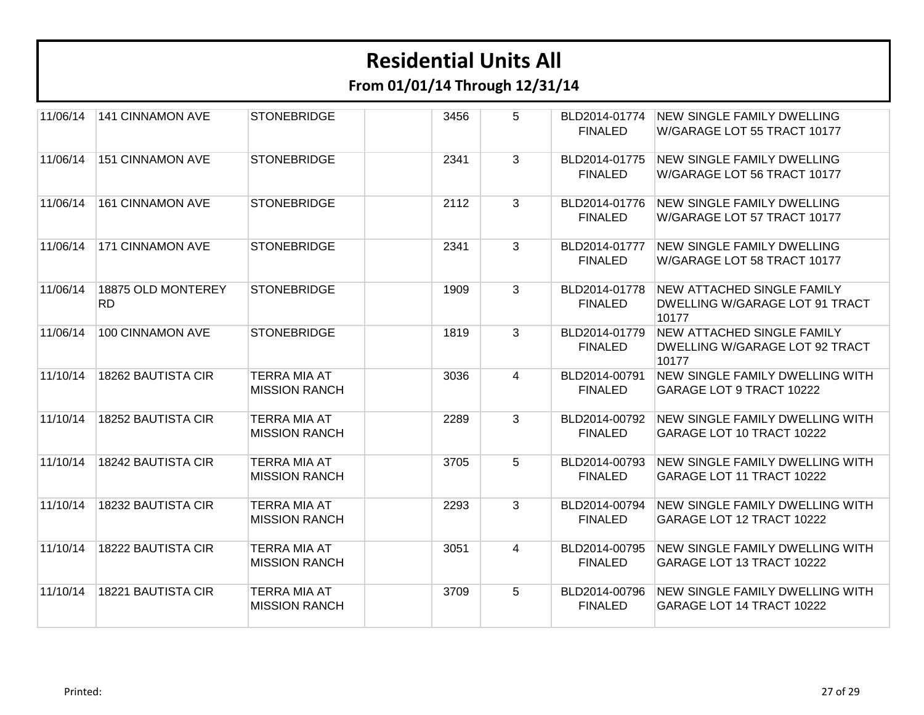| 11/06/14 | <b>141 CINNAMON AVE</b>         | <b>STONEBRIDGE</b>                          | 3456 | 5              | BLD2014-01774<br><b>FINALED</b> | <b>NEW SINGLE FAMILY DWELLING</b><br>W/GARAGE LOT 55 TRACT 10177             |
|----------|---------------------------------|---------------------------------------------|------|----------------|---------------------------------|------------------------------------------------------------------------------|
| 11/06/14 | <b>151 CINNAMON AVE</b>         | <b>STONEBRIDGE</b>                          | 2341 | 3              | BLD2014-01775<br><b>FINALED</b> | <b>NEW SINGLE FAMILY DWELLING</b><br>W/GARAGE LOT 56 TRACT 10177             |
| 11/06/14 | <b>161 CINNAMON AVE</b>         | <b>STONEBRIDGE</b>                          | 2112 | 3              | BLD2014-01776<br><b>FINALED</b> | NEW SINGLE FAMILY DWELLING<br>W/GARAGE LOT 57 TRACT 10177                    |
| 11/06/14 | <b>171 CINNAMON AVE</b>         | <b>STONEBRIDGE</b>                          | 2341 | $\mathbf{3}$   | BLD2014-01777<br><b>FINALED</b> | <b>NEW SINGLE FAMILY DWELLING</b><br>W/GARAGE LOT 58 TRACT 10177             |
| 11/06/14 | 18875 OLD MONTEREY<br><b>RD</b> | <b>STONEBRIDGE</b>                          | 1909 | 3              | BLD2014-01778<br><b>FINALED</b> | <b>NEW ATTACHED SINGLE FAMILY</b><br>DWELLING W/GARAGE LOT 91 TRACT<br>10177 |
| 11/06/14 | 100 CINNAMON AVE                | <b>STONEBRIDGE</b>                          | 1819 | 3              | BLD2014-01779<br><b>FINALED</b> | <b>NEW ATTACHED SINGLE FAMILY</b><br>DWELLING W/GARAGE LOT 92 TRACT<br>10177 |
| 11/10/14 | <b>18262 BAUTISTA CIR</b>       | <b>TERRA MIA AT</b><br><b>MISSION RANCH</b> | 3036 | 4              | BLD2014-00791<br><b>FINALED</b> | <b>NEW SINGLE FAMILY DWELLING WITH</b><br>GARAGE LOT 9 TRACT 10222           |
| 11/10/14 | 18252 BAUTISTA CIR              | <b>TERRA MIA AT</b><br><b>MISSION RANCH</b> | 2289 | 3              | BLD2014-00792<br><b>FINALED</b> | <b>NEW SINGLE FAMILY DWELLING WITH</b><br>GARAGE LOT 10 TRACT 10222          |
| 11/10/14 | 18242 BAUTISTA CIR              | <b>TERRA MIA AT</b><br><b>MISSION RANCH</b> | 3705 | 5              | BLD2014-00793<br><b>FINALED</b> | <b>NEW SINGLE FAMILY DWELLING WITH</b><br>GARAGE LOT 11 TRACT 10222          |
| 11/10/14 | 18232 BAUTISTA CIR              | <b>TERRA MIA AT</b><br><b>MISSION RANCH</b> | 2293 | 3              | BLD2014-00794<br><b>FINALED</b> | <b>NEW SINGLE FAMILY DWELLING WITH</b><br>GARAGE LOT 12 TRACT 10222          |
| 11/10/14 | 18222 BAUTISTA CIR              | <b>TERRA MIA AT</b><br><b>MISSION RANCH</b> | 3051 | $\overline{4}$ | BLD2014-00795<br><b>FINALED</b> | <b>NEW SINGLE FAMILY DWELLING WITH</b><br>GARAGE LOT 13 TRACT 10222          |
| 11/10/14 | 18221 BAUTISTA CIR              | TERRA MIA AT<br><b>MISSION RANCH</b>        | 3709 | 5              | BLD2014-00796<br><b>FINALED</b> | NEW SINGLE FAMILY DWELLING WITH<br>GARAGE LOT 14 TRACT 10222                 |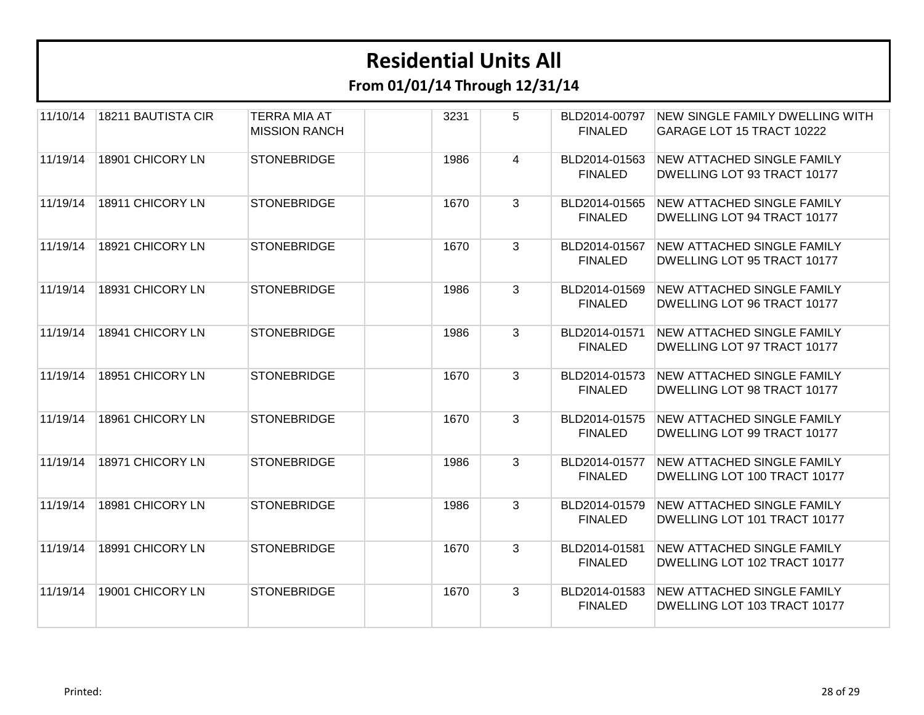| 11/10/14 | 18211 BAUTISTA CIR | <b>TERRA MIA AT</b><br><b>MISSION RANCH</b> | 3231 | 5 | BLD2014-00797<br><b>FINALED</b> | <b>NEW SINGLE FAMILY DWELLING WITH</b><br>GARAGE LOT 15 TRACT 10222 |
|----------|--------------------|---------------------------------------------|------|---|---------------------------------|---------------------------------------------------------------------|
| 11/19/14 | 18901 CHICORY LN   | <b>STONEBRIDGE</b>                          | 1986 | 4 | BLD2014-01563<br><b>FINALED</b> | <b>NEW ATTACHED SINGLE FAMILY</b><br>DWELLING LOT 93 TRACT 10177    |
| 11/19/14 | 18911 CHICORY LN   | <b>STONEBRIDGE</b>                          | 1670 | 3 | BLD2014-01565<br><b>FINALED</b> | NEW ATTACHED SINGLE FAMILY<br>DWELLING LOT 94 TRACT 10177           |
| 11/19/14 | 18921 CHICORY LN   | <b>STONEBRIDGE</b>                          | 1670 | 3 | BLD2014-01567<br><b>FINALED</b> | <b>NEW ATTACHED SINGLE FAMILY</b><br>DWELLING LOT 95 TRACT 10177    |
| 11/19/14 | 18931 CHICORY LN   | <b>STONEBRIDGE</b>                          | 1986 | 3 | BLD2014-01569<br><b>FINALED</b> | <b>NEW ATTACHED SINGLE FAMILY</b><br>DWELLING LOT 96 TRACT 10177    |
| 11/19/14 | 18941 CHICORY LN   | <b>STONEBRIDGE</b>                          | 1986 | 3 | BLD2014-01571<br><b>FINALED</b> | <b>NEW ATTACHED SINGLE FAMILY</b><br>DWELLING LOT 97 TRACT 10177    |
| 11/19/14 | 18951 CHICORY LN   | <b>STONEBRIDGE</b>                          | 1670 | 3 | BLD2014-01573<br><b>FINALED</b> | NEW ATTACHED SINGLE FAMILY<br>DWELLING LOT 98 TRACT 10177           |
| 11/19/14 | 18961 CHICORY LN   | <b>STONEBRIDGE</b>                          | 1670 | 3 | BLD2014-01575<br><b>FINALED</b> | <b>NEW ATTACHED SINGLE FAMILY</b><br>DWELLING LOT 99 TRACT 10177    |
| 11/19/14 | 18971 CHICORY LN   | <b>STONEBRIDGE</b>                          | 1986 | 3 | BLD2014-01577<br><b>FINALED</b> | <b>NEW ATTACHED SINGLE FAMILY</b><br>DWELLING LOT 100 TRACT 10177   |
| 11/19/14 | 18981 CHICORY LN   | <b>STONEBRIDGE</b>                          | 1986 | 3 | BLD2014-01579<br><b>FINALED</b> | <b>NEW ATTACHED SINGLE FAMILY</b><br>DWELLING LOT 101 TRACT 10177   |
| 11/19/14 | 18991 CHICORY LN   | <b>STONEBRIDGE</b>                          | 1670 | 3 | BLD2014-01581<br><b>FINALED</b> | <b>NEW ATTACHED SINGLE FAMILY</b><br>DWELLING LOT 102 TRACT 10177   |
| 11/19/14 | 19001 CHICORY LN   | <b>STONEBRIDGE</b>                          | 1670 | 3 | BLD2014-01583<br><b>FINALED</b> | <b>NEW ATTACHED SINGLE FAMILY</b><br>DWELLING LOT 103 TRACT 10177   |